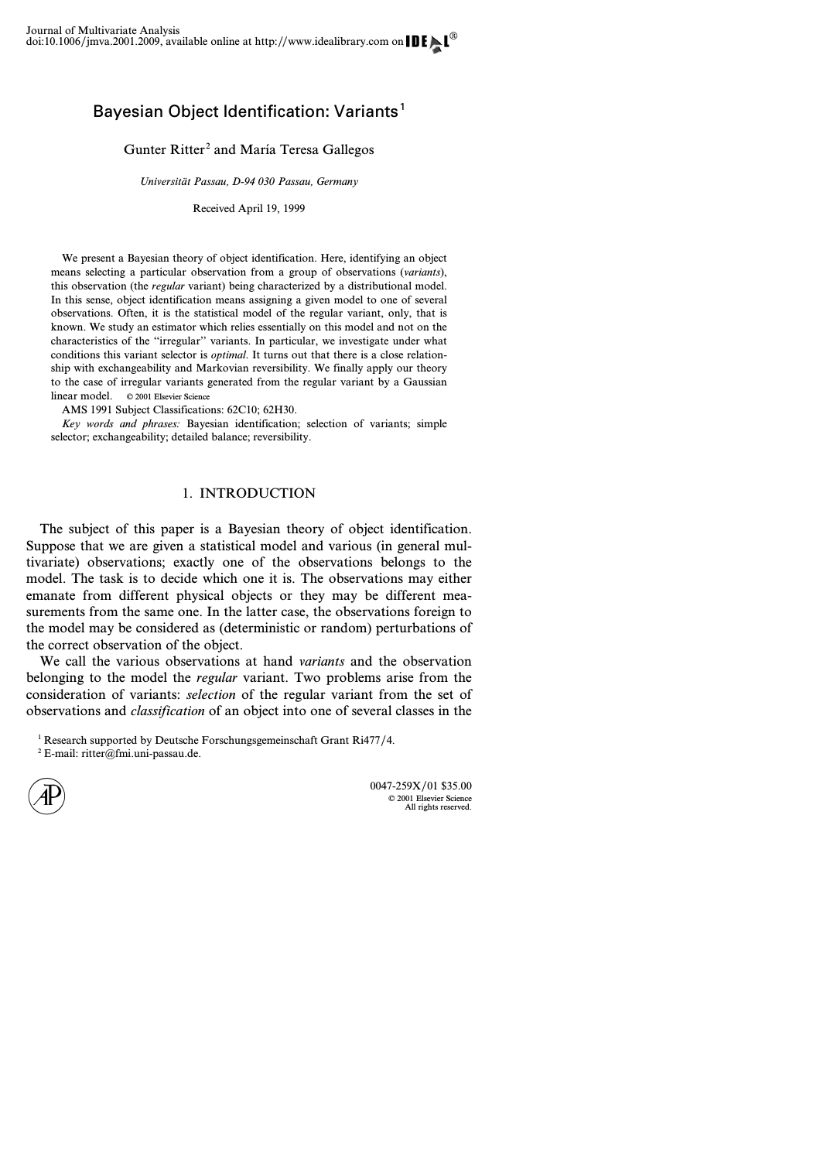# Bayesian Object Identification: Variants<sup>1</sup>

Gunter Ritter<sup>2</sup> and María Teresa Gallegos

*Universität Passau, D-94 030 Passau, Germany*

Received April 19, 1999

We present a Bayesian theory of object identification. Here, identifying an object means selecting a particular observation from a group of observations (*variants*), this observation (the *regular* variant) being characterized by a distributional model. In this sense, object identification means assigning a given model to one of several observations. Often, it is the statistical model of the regular variant, only, that is known. We study an estimator which relies essentially on this model and not on the characteristics of the ''irregular'' variants. In particular, we investigate under what conditions this variant selector is *optimal*. It turns out that there is a close relationship with exchangeability and Markovian reversibility. We finally apply our theory to the case of irregular variants generated from the regular variant by a Gaussian linear model. © 2001 Elsevier Science

AMS 1991 Subject Classifications: 62C10; 62H30.

*Key words and phrases:* Bayesian identification; selection of variants; simple selector; exchangeability; detailed balance; reversibility.

# 1. INTRODUCTION

The subject of this paper is a Bayesian theory of object identification. Suppose that we are given a statistical model and various (in general multivariate) observations; exactly one of the observations belongs to the model. The task is to decide which one it is. The observations may either emanate from different physical objects or they may be different measurements from the same one. In the latter case, the observations foreign to the model may be considered as (deterministic or random) perturbations of the correct observation of the object.

We call the various observations at hand *variants* and the observation belonging to the model the *regular* variant. Two problems arise from the consideration of variants: *selection* of the regular variant from the set of observations and *classification* of an object into one of several classes in the

<sup>1</sup> Research supported by Deutsche Forschungsgemeinschaft Grant Ri477/4.

 $2$  E-mail: ritter@fmi.uni-passau.de.

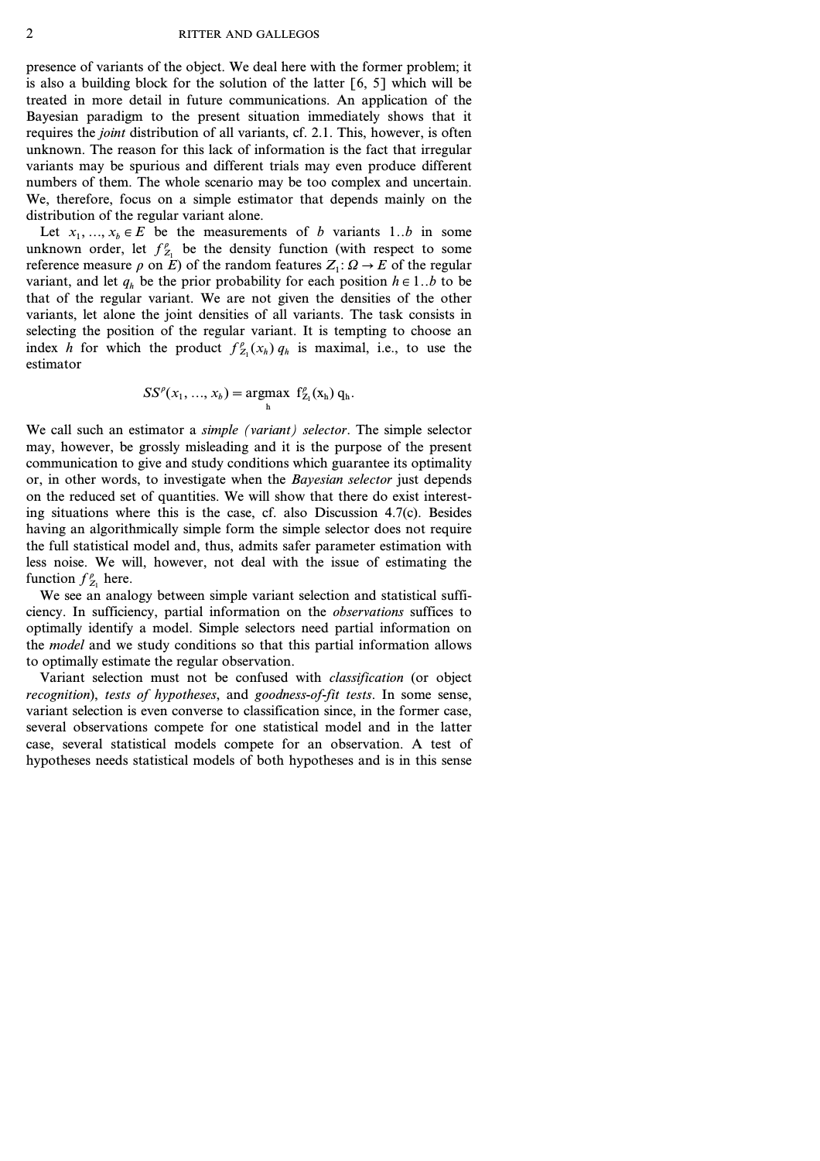presence of variants of the object. We deal here with the former problem; it is also a building block for the solution of the latter  $[6, 5]$  which will be treated in more detail in future communications. An application of the Bayesian paradigm to the present situation immediately shows that it requires the *joint* distribution of all variants, cf. 2.1. This, however, is often unknown. The reason for this lack of information is the fact that irregular variants may be spurious and different trials may even produce different numbers of them. The whole scenario may be too complex and uncertain. We, therefore, focus on a simple estimator that depends mainly on the distribution of the regular variant alone.

Let  $x_1, ..., x_b \in E$  be the measurements of *b* variants 1..*b* in some unknown order, let  $f_{Z_1}^{\rho}$  be the density function (with respect to some reference measure  $\rho$  on  $\overline{E}$ ) of the random features  $Z_1$ :  $\Omega \to \overline{E}$  of the regular variant, and let  $q_h$  be the prior probability for each position  $h \in 1..b$  to be that of the regular variant. We are not given the densities of the other variants, let alone the joint densities of all variants. The task consists in selecting the position of the regular variant. It is tempting to choose an index *h* for which the product  $f_{Z_1}^{\rho}(x_h) q_h$  is maximal, i.e., to use the estimator

$$
SS^{\rho}(x_1, ..., x_b) = \underset{h}{\text{argmax}} \ \ f^{\rho}_{Z_1}(x_h) \ q_h.
$$

We call such an estimator a *simple (variant) selector*. The simple selector may, however, be grossly misleading and it is the purpose of the present communication to give and study conditions which guarantee its optimality or, in other words, to investigate when the *Bayesian selector* just depends on the reduced set of quantities. We will show that there do exist interesting situations where this is the case, cf. also Discussion 4.7(c). Besides having an algorithmically simple form the simple selector does not require the full statistical model and, thus, admits safer parameter estimation with less noise. We will, however, not deal with the issue of estimating the function  $f_{Z_1}^{\rho}$  here.

We see an analogy between simple variant selection and statistical sufficiency. In sufficiency, partial information on the *observations* suffices to optimally identify a model. Simple selectors need partial information on the *model* and we study conditions so that this partial information allows to optimally estimate the regular observation.

Variant selection must not be confused with *classification* (or object *recognition*), *tests of hypotheses*, and *goodness-of-fit tests*. In some sense, variant selection is even converse to classification since, in the former case, several observations compete for one statistical model and in the latter case, several statistical models compete for an observation. A test of hypotheses needs statistical models of both hypotheses and is in this sense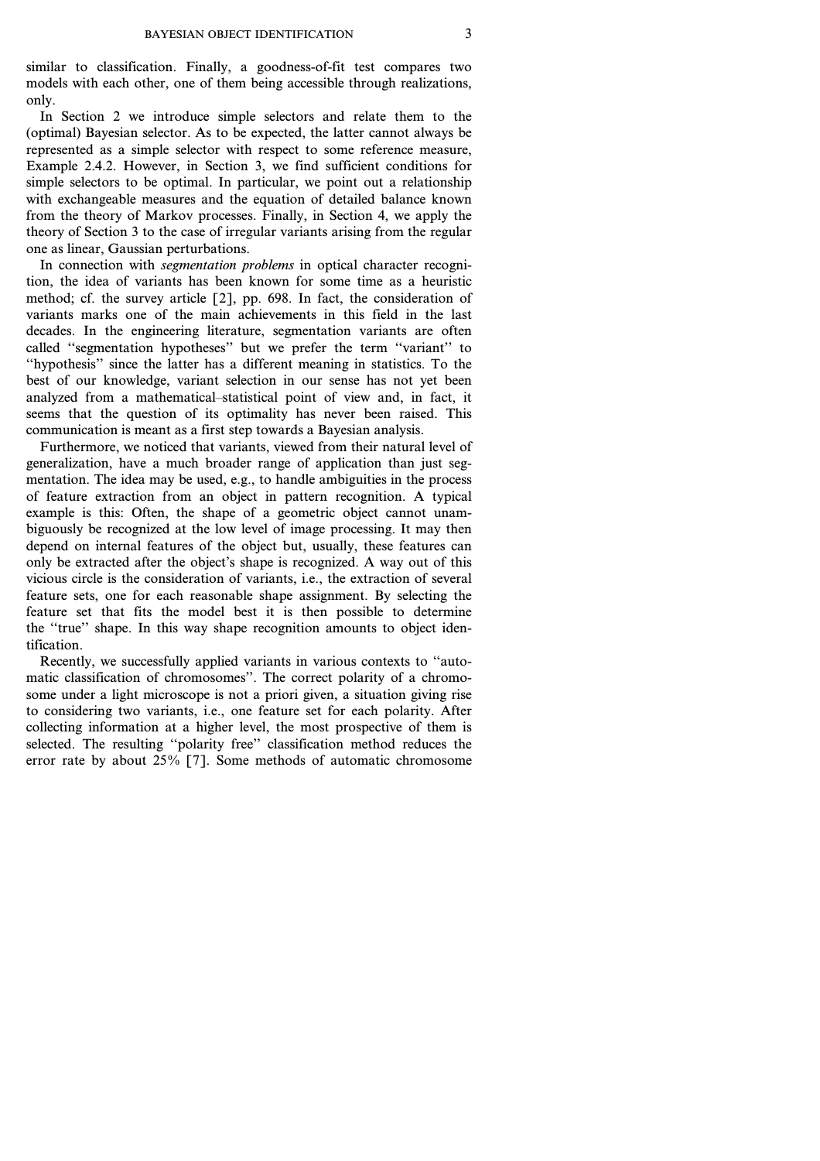similar to classification. Finally, a goodness-of-fit test compares two models with each other, one of them being accessible through realizations, only.

In Section 2 we introduce simple selectors and relate them to the (optimal) Bayesian selector. As to be expected, the latter cannot always be represented as a simple selector with respect to some reference measure, Example 2.4.2. However, in Section 3, we find sufficient conditions for simple selectors to be optimal. In particular, we point out a relationship with exchangeable measures and the equation of detailed balance known from the theory of Markov processes. Finally, in Section 4, we apply the theory of Section 3 to the case of irregular variants arising from the regular one as linear, Gaussian perturbations.

In connection with *segmentation problems* in optical character recognition, the idea of variants has been known for some time as a heuristic method; cf. the survey article [2], pp. 698. In fact, the consideration of variants marks one of the main achievements in this field in the last decades. In the engineering literature, segmentation variants are often called ''segmentation hypotheses'' but we prefer the term ''variant'' to ''hypothesis'' since the latter has a different meaning in statistics. To the best of our knowledge, variant selection in our sense has not yet been analyzed from a mathematical–statistical point of view and, in fact, it seems that the question of its optimality has never been raised. This communication is meant as a first step towards a Bayesian analysis.

Furthermore, we noticed that variants, viewed from their natural level of generalization, have a much broader range of application than just segmentation. The idea may be used, e.g., to handle ambiguities in the process of feature extraction from an object in pattern recognition. A typical example is this: Often, the shape of a geometric object cannot unambiguously be recognized at the low level of image processing. It may then depend on internal features of the object but, usually, these features can only be extracted after the object's shape is recognized. A way out of this vicious circle is the consideration of variants, i.e., the extraction of several feature sets, one for each reasonable shape assignment. By selecting the feature set that fits the model best it is then possible to determine the ''true'' shape. In this way shape recognition amounts to object identification.

Recently, we successfully applied variants in various contexts to ''automatic classification of chromosomes''. The correct polarity of a chromosome under a light microscope is not a priori given, a situation giving rise to considering two variants, i.e., one feature set for each polarity. After collecting information at a higher level, the most prospective of them is selected. The resulting "polarity free" classification method reduces the error rate by about  $25\%$  [7]. Some methods of automatic chromosome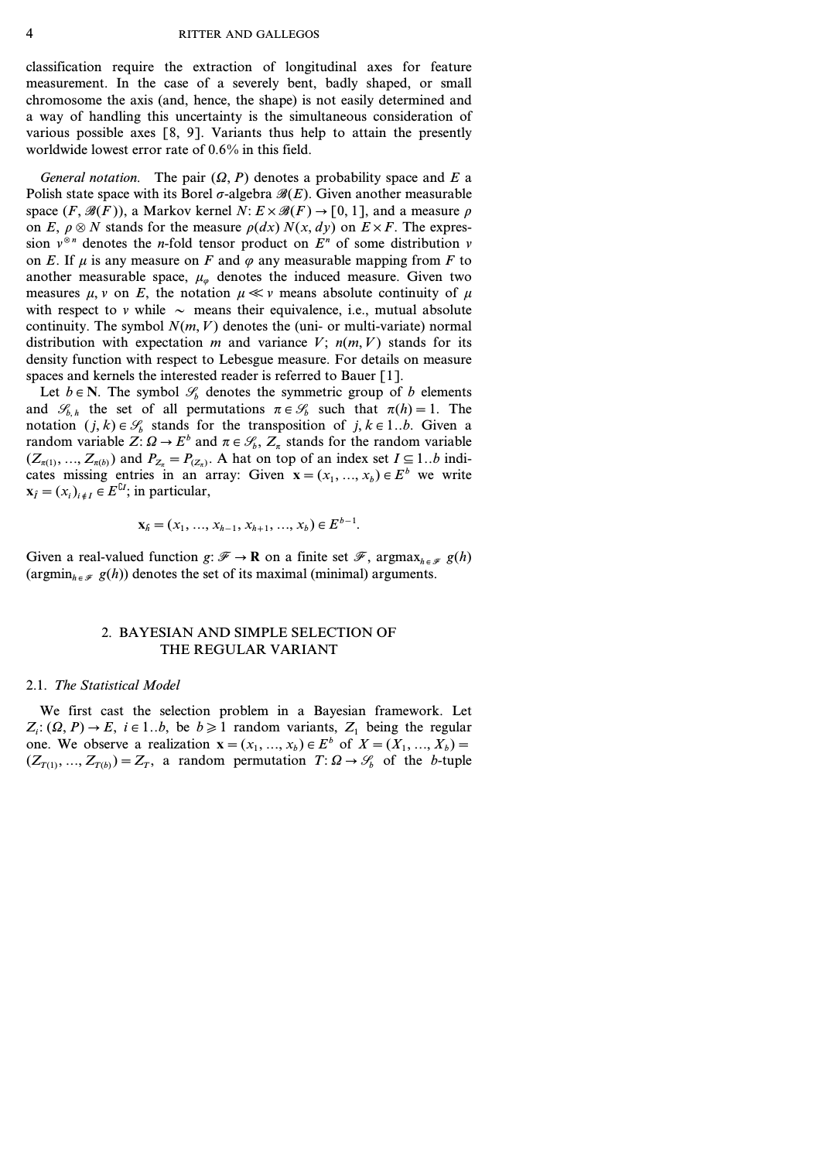classification require the extraction of longitudinal axes for feature measurement. In the case of a severely bent, badly shaped, or small chromosome the axis (and, hence, the shape) is not easily determined and a way of handling this uncertainty is the simultaneous consideration of various possible axes [8, 9]. Variants thus help to attain the presently worldwide lowest error rate of 0.6% in this field.

*General notation.* The pair  $(\Omega, P)$  denotes a probability space and *E* a Polish state space with its Borel  $\sigma$ -algebra  $\mathcal{B}(E)$ . Given another measurable space  $(F, \mathcal{B}(F))$ , a Markov kernel *N*:  $E \times \mathcal{B}(F) \rightarrow [0, 1]$ , and a measure  $\rho$ on *E*,  $\rho \otimes N$  stands for the measure  $\rho(dx) N(x, dy)$  on  $E \times F$ . The expression  $v^{\otimes n}$  denotes the *n*-fold tensor product on  $E^n$  of some distribution  $v$ on *E*. If  $\mu$  is any measure on *F* and  $\varphi$  any measurable mapping from *F* to another measurable space,  $\mu_{\varphi}$  denotes the induced measure. Given two measures  $\mu$ ,  $\nu$  on *E*, the notation  $\mu \ll \nu$  means absolute continuity of  $\mu$ with respect to  $\nu$  while  $\sim$  means their equivalence, i.e., mutual absolute continuity. The symbol  $N(m, V)$  denotes the (uni- or multi-variate) normal distribution with expectation  $m$  and variance  $V$ ;  $n(m, V)$  stands for its density function with respect to Lebesgue measure. For details on measure spaces and kernels the interested reader is referred to Bauer [1].

Let  $b \in \mathbb{N}$ . The symbol  $\mathcal{S}_b$  denotes the symmetric group of *b* elements and  $\mathcal{S}_{b,h}$  the set of all permutations  $\pi \in \mathcal{S}_b$  such that  $\pi(h)=1$ . The notation  $(j, k) \in \mathcal{S}_b$  stands for the transposition of  $j, k \in \{1..b\}$ . Given a random variable  $Z: \Omega \to E^b$  and  $\pi \in \mathcal{S}_b$ ,  $Z_\pi$  stands for the random variable  $(Z_{\pi(1)}, ..., Z_{\pi(b)})$  and  $P_{Z_{\pi}} = P_{(Z_{\pi})}$ . A hat on top of an index set  $I \subseteq 1..b$  indicates missing entries in an array: Given  $\mathbf{x} = (x_1, ..., x_b) \in E^b$  we write  $\mathbf{x}_{\hat{I}} = (x_i)_{i \in I} \in E^{\complement I}$ ; in particular,

$$
\mathbf{x}_{\hat{h}} = (x_1, \dots, x_{h-1}, x_{h+1}, \dots, x_b) \in E^{b-1}.
$$

Given a real-valued function  $g: \mathcal{F} \to \mathbf{R}$  on a finite set  $\mathcal{F}$ , argmax<sub>he  $g$ </sub>  $g(h)$ (argmin<sub>he  $\mathcal{F}$ </sub>  $g(h)$ ) denotes the set of its maximal (minimal) arguments.

# 2. BAYESIAN AND SIMPLE SELECTION OF THE REGULAR VARIANT

#### 2.1. *The Statistical Model*

We first cast the selection problem in a Bayesian framework. Let  $Z_i$ :  $(\Omega, P) \rightarrow E$ ,  $i \in 1..b$ , be  $b \ge 1$  random variants,  $Z_1$  being the regular one. We observe a realization  $x = (x_1, ..., x_b) \in E^b$  of  $X = (X_1, ..., X_b) =$  $(Z_{T(1)}, ..., Z_{T(b)}) = Z_T$ , a random permutation  $T: \Omega \to \mathcal{G}_b$  of the *b*-tuple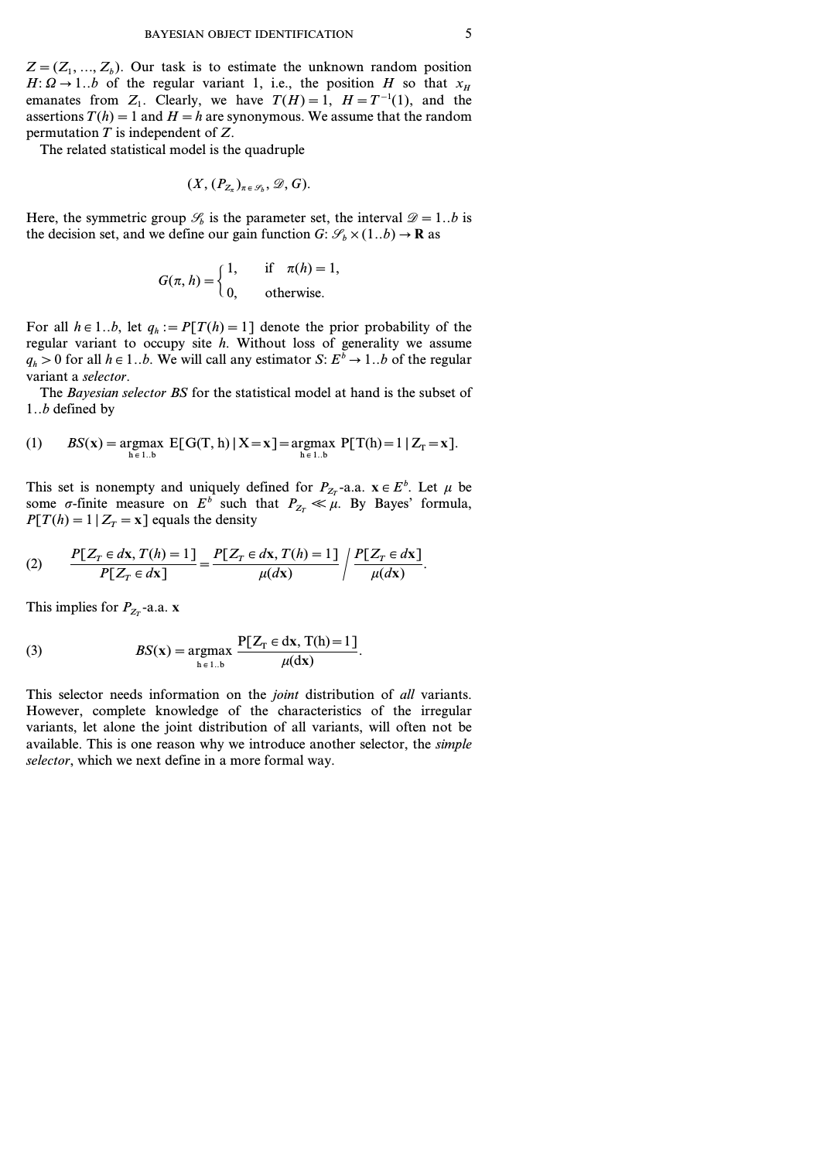$Z = (Z_1, \ldots, Z_b)$ . Our task is to estimate the unknown random position  $H: \Omega \rightarrow 1..b$  of the regular variant 1, i.e., the position *H* so that  $x_H$ emanates from  $Z_1$ . Clearly, we have  $T(H)=1$ ,  $H=T^{-1}(1)$ , and the assertions  $T(h) = 1$  and  $H = h$  are synonymous. We assume that the random permutation *T* is independent of *Z*.

The related statistical model is the quadruple

$$
(X,(P_{Z_{\pi}})_{\pi \in \mathscr{S}_b},\mathscr{D},G).
$$

Here, the symmetric group  $\mathcal{S}_b$  is the parameter set, the interval  $\mathcal{D}=1..b$  is the decision set, and we define our gain function *G*:  $\mathcal{S}_b \times (1..b) \rightarrow \mathbf{R}$  as

$$
G(\pi, h) = \begin{cases} 1, & \text{if } \pi(h) = 1, \\ 0, & \text{otherwise.} \end{cases}
$$

For all  $h \in 1..b$ , let  $q_h := P[T(h) = 1]$  denote the prior probability of the regular variant to occupy site *h*. Without loss of generality we assume  $q_h > 0$  for all  $h \in 1..b$ . We will call any estimator *S*:  $E^{\overline{b}} \rightarrow 1..b$  of the regular variant a *selector*.

The *Bayesian selector BS* for the statistical model at hand is the subset of *1..b* defined by

(1) 
$$
BS(x) = \underset{h \in 1 \dots b}{\text{argmax}} E[G(T, h) | X = x] = \underset{h \in 1 \dots b}{\text{argmax}} P[T(h) = 1 | Z_T = x].
$$

This set is nonempty and uniquely defined for  $P_{Z_T}$ -a.a.  $\mathbf{x} \in E^b$ . Let  $\mu$  be some  $\sigma$ -finite measure on  $E^b$  such that  $P_{Z_T} \ll \mu$ . By Bayes' formula,  $P[T(h) = 1 | Z_T = x]$  equals the density

(2) 
$$
\frac{P[Z_T \in dx, T(h) = 1]}{P[Z_T \in dx]} = \frac{P[Z_T \in dx, T(h) = 1]}{\mu(dx)} / \frac{P[Z_T \in dx]}{\mu(dx)}.
$$

This implies for  $P_{Z_T}$ -a.a. **x** 

(3) 
$$
BS(\mathbf{x}) = \underset{\mathbf{h} \in 1 \dots b}{\operatorname{argmax}} \frac{\mathbf{P}[Z_{\mathrm{T}} \in \mathrm{d}\mathbf{x}, \mathrm{T}(\mathbf{h}) = 1]}{\mu(\mathrm{d}\mathbf{x})}.
$$

This selector needs information on the *joint* distribution of *all* variants. However, complete knowledge of the characteristics of the irregular variants, let alone the joint distribution of all variants, will often not be available. This is one reason why we introduce another selector, the *simple selector*, which we next define in a more formal way.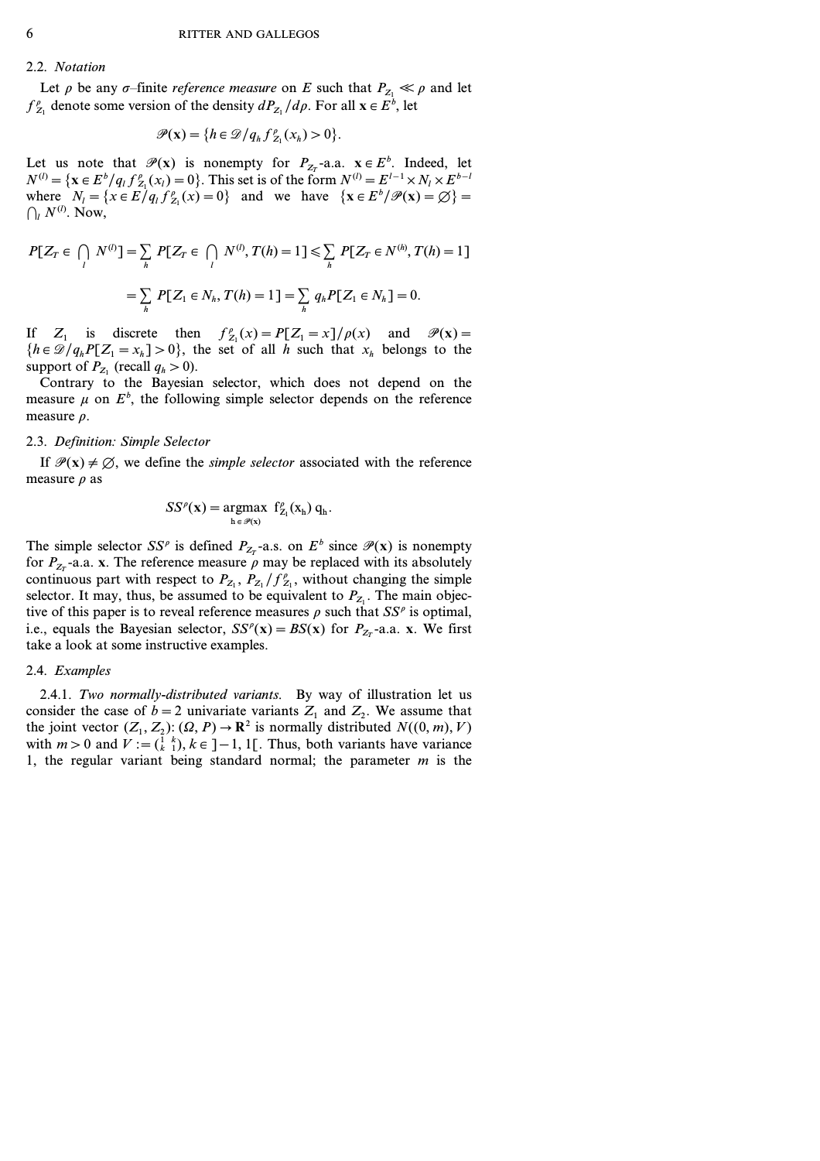### 2.2. *Notation*

Let  $\rho$  be any  $\sigma$ -finite *reference measure* on *E* such that  $P_{Z_1} \ll \rho$  and let  $f_{Z_1}^{\rho}$  denote some version of the density  $dP_{Z_1}/d\rho$ . For all  $\mathbf{x} \in E^b$ , let

$$
\mathscr{P}(\mathbf{x}) = \{h \in \mathscr{D}/q_h f_{Z_1}^{\rho}(x_h) > 0\}.
$$

Let us note that  $\mathcal{P}(\mathbf{x})$  is nonempty for  $P_{Z_T}$ -a.a.  $\mathbf{x} \in E^b$ . Indeed, let  $N^{(l)} = \{ \mathbf{x} \in E^b / q_l f_{Z_1}^{\rho}(x_l) = 0 \}$ . This set is of the form  $N^{(l)} = E^{l-1} \times N_l \times E^{b-l}$ where  $N_l = \{x \in E/q_l f_{Z_1}^{\rho}(x) = 0\}$  and we have  $\{x \in E^{\rho}/\mathcal{P}(x) = \emptyset\} = 0$  $\bigcap_l N^{(l)}$ . Now,

$$
P[Z_T \in \bigcap_i N^{(l)}] = \sum_h P[Z_T \in \bigcap_i N^{(l)}, T(h) = 1] \le \sum_h P[Z_T \in N^{(h)}, T(h) = 1]
$$
  
= 
$$
\sum_h P[Z_1 \in N_h, T(h) = 1] = \sum_h q_h P[Z_1 \in N_h] = 0.
$$

If  $Z_1$  is discrete then  $f'_{Z_1}(x) = P[Z_1 = x]/\rho(x)$  and  $\mathcal{P}(x) =$  ${h \in \mathcal{D}/q_h P[Z_1 = x_h] > 0}$ , the set of all *h* such that  $x_h$  belongs to the support of  $P_{Z_1}$  (recall  $q_h > 0$ ).

Contrary to the Bayesian selector, which does not depend on the measure  $\mu$  on  $E^b$ , the following simple selector depends on the reference measure  $\rho$ .

#### 2.3. *Definition: Simple Selector*

If  $\mathcal{P}(x) \neq \emptyset$ , we define the *simple selector* associated with the reference measure  $\rho$  as

$$
SS^{\rho}(\mathbf{x}) = \underset{\mathbf{h} \in \mathscr{P}(\mathbf{x})}{\operatorname{argmax}} \ \mathbf{f}_{Z_1}^{\rho}(\mathbf{x}_{\mathbf{h}}) \ \mathbf{q}_{\mathbf{h}}.
$$

The simple selector *SS<sup>p</sup>* is defined  $P_{Z_T}$ -a.s. on  $E^b$  since  $\mathcal{P}(\mathbf{x})$  is nonempty for  $P_{Z_T}$ -a.a. **x**. The reference measure  $\rho$  may be replaced with its absolutely continuous part with respect to  $P_{Z_1}$ ,  $P_{Z_1}/f_{Z_1}^{\rho}$ , without changing the simple selector. It may, thus, be assumed to be equivalent to  $P_{Z_1}$ . The main objective of this paper is to reveal reference measures  $\rho$  such that  $SS^{\rho}$  is optimal, i.e., equals the Bayesian selector,  $SS^{\rho}(\mathbf{x}) = BS(\mathbf{x})$  for  $P_{Z_T}$ -a.a. **x**. We first take a look at some instructive examples.

#### 2.4. *Examples*

2.4.1. *Two normally-distributed variants.* By way of illustration let us consider the case of  $b=2$  univariate variants  $Z_1$  and  $Z_2$ . We assume that the joint vector  $(Z_1, Z_2)$ :  $(\Omega, P) \to \mathbb{R}^2$  is normally distributed  $N((0, m), V)$ with  $m>0$  and  $V := \begin{pmatrix} 1 & k \\ k & 1 \end{pmatrix}$ ,  $k \in ]-1, 1[$ . Thus, both variants have variance 1, the regular variant being standard normal; the parameter *m* is the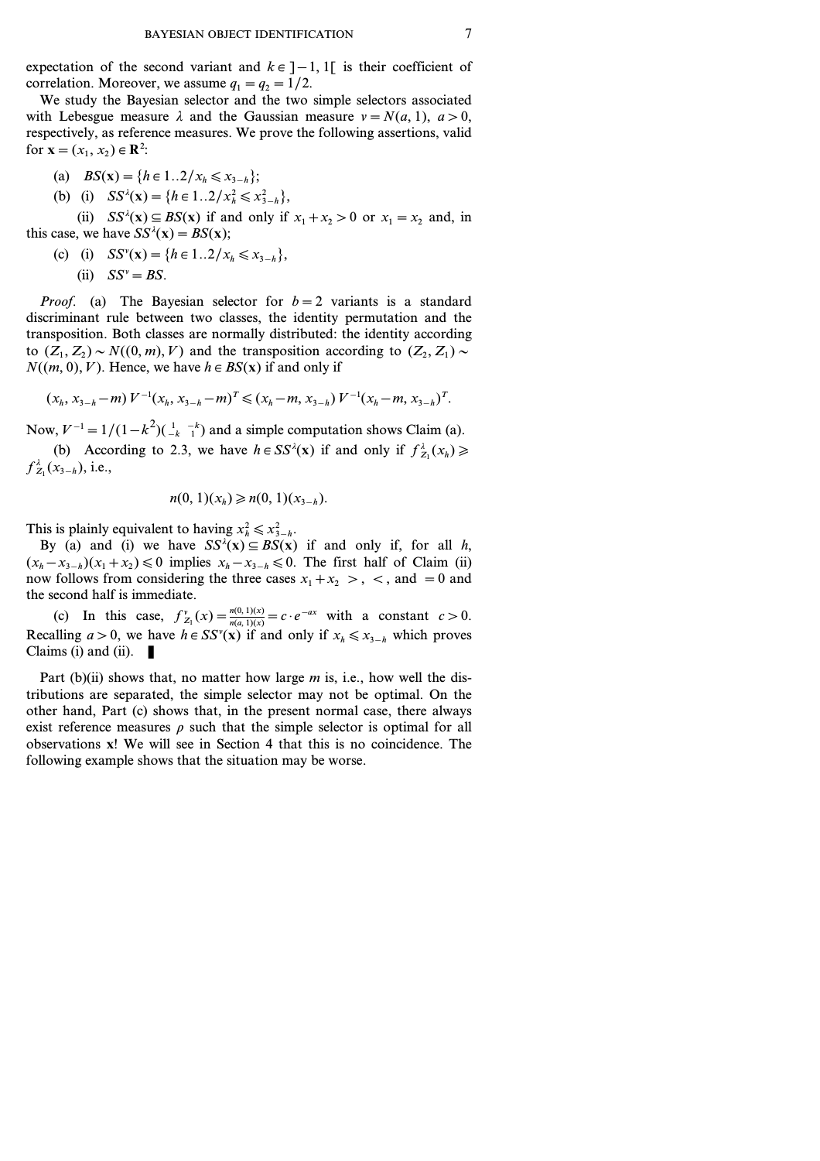expectation of the second variant and  $k \in ]-1, 1[$  is their coefficient of correlation. Moreover, we assume  $q_1 = q_2 = 1/2$ .

We study the Bayesian selector and the two simple selectors associated with Lebesgue measure  $\lambda$  and the Gaussian measure  $v = N(a, 1)$ ,  $a > 0$ , respectively, as reference measures. We prove the following assertions, valid for  $\mathbf{x} = (x_1, x_2) \in \mathbb{R}^2$ :

(a) 
$$
BS(x) = \{h \in 1..2 / x_h \le x_{3-h}\};
$$

(b) (i) 
$$
SS^{\lambda}(\mathbf{x}) = \{h \in 1..2 / x_h^2 \le x_{3-h}^2\},\
$$

(ii)  $SS^{\lambda}(\mathbf{x}) \subseteq BS(\mathbf{x})$  if and only if  $x_1 + x_2 > 0$  or  $x_1 = x_2$  and, in this case, we have  $SS^{\lambda}(\mathbf{x}) = BS(\mathbf{x})$ ;

(c) (i)  $SS^{\nu}(\mathbf{x}) = \{h \in 1..2 / x_h \le x_{3-h}\},\$ (ii)  $SS^v = BS$ .

*Proof.* (a) The Bayesian selector for  $b=2$  variants is a standard discriminant rule between two classes, the identity permutation and the transposition. Both classes are normally distributed: the identity according to  $(Z_1, Z_2) \sim N((0, m), V)$  and the transposition according to  $(Z_2, Z_1) \sim$  $N((m, 0), V)$ . Hence, we have  $h \in BS(x)$  if and only if

$$
(x_h, x_{3-h} - m) V^{-1} (x_h, x_{3-h} - m)^T \leq (x_h - m, x_{3-h}) V^{-1} (x_h - m, x_{3-h})^T.
$$

Now,  $V^{-1} = 1/(1 - k^2)(\frac{1}{k} - \frac{1}{k})$  and a simple computation shows Claim (a).

(b) According to 2.3, we have  $h \in SS^{\lambda}(\mathbf{x})$  if and only if  $f_{Z_1}^{\lambda}(x_h) \geq$  $f_{Z_1}^{\lambda}(x_{3-h}),$  i.e.,

$$
n(0,1)(x_h) \geq n(0,1)(x_{3-h}).
$$

This is plainly equivalent to having  $x_h^2 \le x_{3-h}^2$ .

By (a) and (i) we have  $SS^{\lambda}(x) \subseteq BS(x)$  if and only if, for all *h*,  $(x<sub>h</sub> - x<sub>3-h</sub>)(x<sub>1</sub> + x<sub>2</sub>)$  ≤ 0 implies  $x<sub>h</sub> - x<sub>3-h</sub>$  ≤ 0. The first half of Claim (ii) now follows from considering the three cases  $x_1 + x_2 > 0$ ,  $\lt$ , and  $= 0$  and the second half is immediate.

(c) In this case,  $f_{Z_1}^{\nu}(x) = \frac{n(0, 1)(x)}{n(a, 1)(x)} = c \cdot e^{-ax}$  with a constant  $c > 0$ . Recalling  $a > 0$ , we have  $h \in SS^{v}(x)$  if and only if  $x_h \le x_{3-h}$  which proves Claims (i) and (ii).  $\blacksquare$ 

Part (b)(ii) shows that, no matter how large *m* is, i.e., how well the distributions are separated, the simple selector may not be optimal. On the other hand, Part (c) shows that, in the present normal case, there always exist reference measures  $\rho$  such that the simple selector is optimal for all observations **x**! We will see in Section 4 that this is no coincidence. The following example shows that the situation may be worse.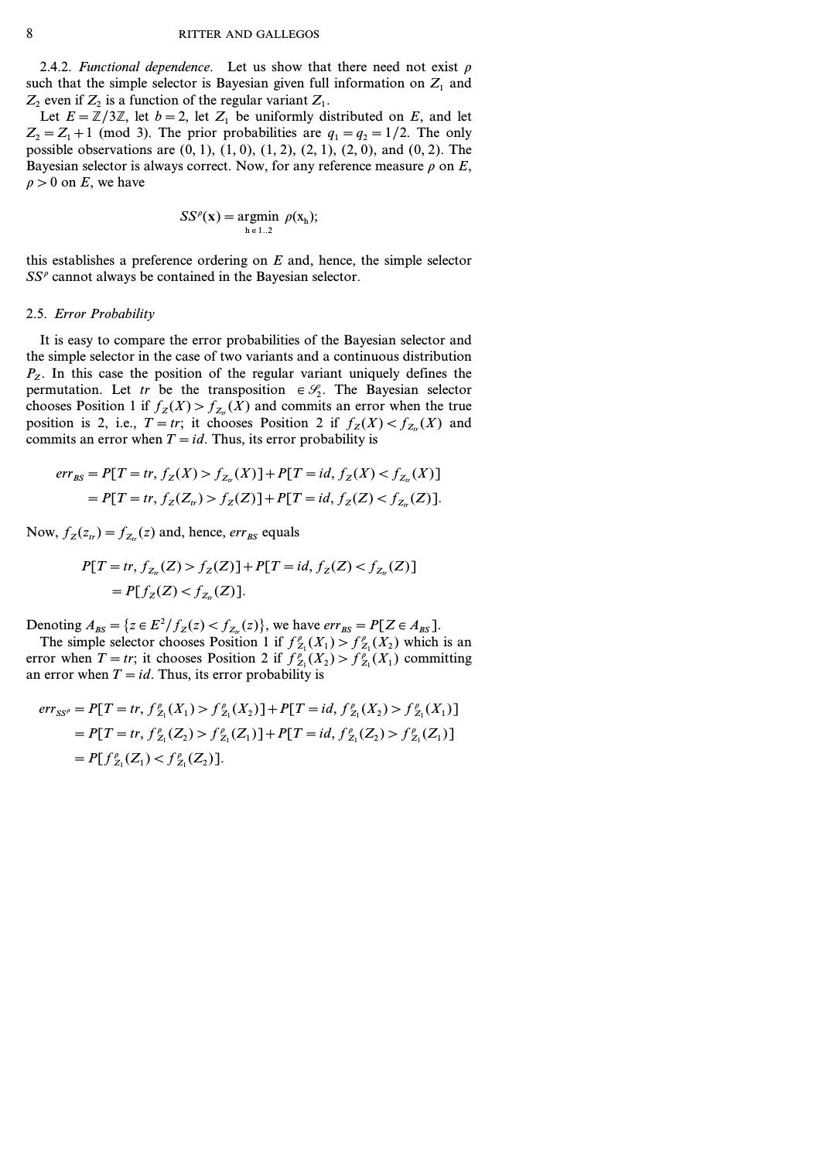2.4.2. *Functional dependence*. Let us show that there need not exist  $\rho$ such that the simple selector is Bayesian given full information on  $Z_1$  and  $Z_2$  even if  $Z_2$  is a function of the regular variant  $Z_1$ .

Let  $E = \mathbb{Z}/3\mathbb{Z}$ , let  $b = 2$ , let  $Z_1$  be uniformly distributed on  $E$ , and let  $Z_2 = Z_1 + 1$  (mod 3). The prior probabilities are  $q_1 = q_2 = 1/2$ . The only possible observations are *(0, 1)*, *(1, 0)*, *(1, 2)*, *(2, 1)*, *(2, 0)*, and *(0, 2)*. The Bayesian selector is always correct. Now, for any reference measure  $\rho$  on  $E$ ,  $\rho > 0$  on *E*, we have

$$
SS^{\rho}(\mathbf{x}) = \underset{\mathbf{h} \in 1..2}{argmin} \ \rho(\mathbf{x}_{\mathbf{h}});
$$

this establishes a preference ordering on *E* and, hence, the simple selector *SS<sup>r</sup>* cannot always be contained in the Bayesian selector.

### 2.5. *Error Probability*

It is easy to compare the error probabilities of the Bayesian selector and the simple selector in the case of two variants and a continuous distribution  $P_z$ . In this case the position of the regular variant uniquely defines the permutation. Let *tr* be the transposition  $\in \mathcal{S}_2$ . The Bayesian selector chooses Position 1 if  $f_Z(X) > f_{Z_t}(X)$  and commits an error when the true position is 2, i.e.,  $T = tr$ ; it chooses Position 2 if  $f_Z(X) < f_{Z}(X)$  and commits an error when  $T = id$ . Thus, its error probability is

$$
err_{BS} = P[T = tr, f_Z(X) > f_{Z_{tr}}(X)] + P[T = id, f_Z(X) < f_{Z_{tr}}(X)]
$$
\n
$$
= P[T = tr, f_Z(Z_{tr}) > f_Z(Z)] + P[T = id, f_Z(Z) < f_{Z_{tr}}(Z)].
$$

Now,  $f_Z(z_t) = f_{Z_t}(z)$  and, hence,  $err_{BS}$  equals

$$
P[T = tr, f_{Z_{tr}}(Z) > f_Z(Z)] + P[T = id, f_Z(Z) < f_{Z_{tr}}(Z)]
$$
  
=  $P[f_Z(Z) < f_{Z_{tr}}(Z)].$ 

Denoting  $A_{BS} = \{z \in E^2 / f_Z(z) < f_{Z_{tr}}(z)\}$ , we have  $err_{BS} = P[Z \in A_{BS}]$ .

The simple selector chooses Position 1 if  $f_{Z_1}^{\rho}(X_1) > f_{Z_1}^{\rho}(X_2)$  which is an error when *T* = *tr*; it chooses Position 2 if  $f_{Z_1}^p(X_2) > f_{Z_1}^p(X_1)$  committing an error when  $T = id$ . Thus, its error probability is

$$
err_{SS'} = P[T = tr, f_{Z_1}^{\rho}(X_1) > f_{Z_1}^{\rho}(X_2)] + P[T = id, f_{Z_1}^{\rho}(X_2) > f_{Z_1}^{\rho}(X_1)]
$$
\n
$$
= P[T = tr, f_{Z_1}^{\rho}(Z_2) > f_{Z_1}^{\rho}(Z_1)] + P[T = id, f_{Z_1}^{\rho}(Z_2) > f_{Z_1}^{\rho}(Z_1)]
$$
\n
$$
= P[f_{Z_1}^{\rho}(Z_1) < f_{Z_1}^{\rho}(Z_2)].
$$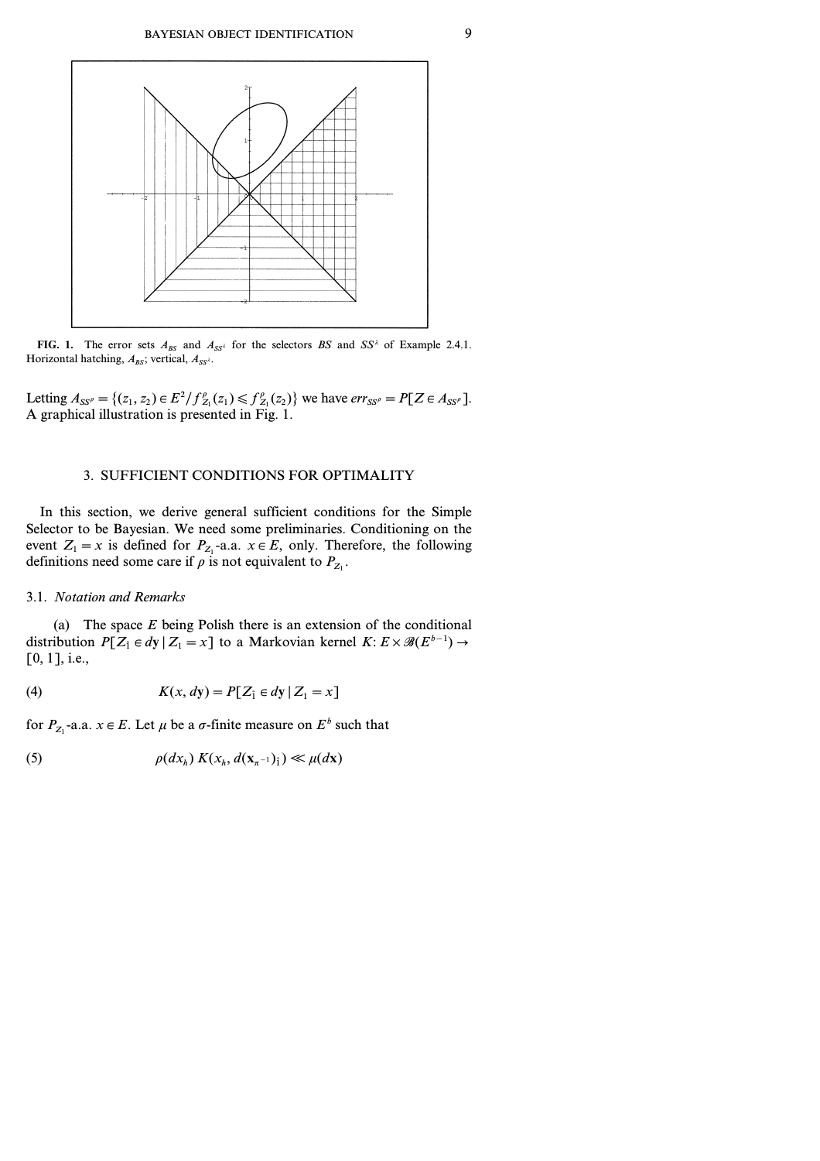

**FIG. 1.** The error sets  $A_{BS}$  and  $A_{SS}$ <sup>2</sup> for the selectors *BS* and *SS*<sup>2</sup> of Example 2.4.1. Horizontal hatching,  $A_{BS}$ ; vertical,  $A_{SS^{\lambda}}$ .

Letting  $A_{SS'} = \{(z_1, z_2) \in E^2 / f_{Z_1}^{\rho}(z_1) \leq f_{Z_1}^{\rho}(z_2)\}\$  we have  $err_{SS'} = P[Z \in A_{SS'}].$ A graphical illustration is presented in Fig. 1.

# 3. SUFFICIENT CONDITIONS FOR OPTIMALITY

In this section, we derive general sufficient conditions for the Simple Selector to be Bayesian. We need some preliminaries. Conditioning on the event  $Z_1 = x$  is defined for  $P_{Z_1}$ -a.a.  $x \in E$ , only. Therefore, the following definitions need some care if  $\rho$  is not equivalent to  $P_{Z_1}$ .

# 3.1. *Notation and Remarks*

(a) The space *E* being Polish there is an extension of the conditional distribution  $P[Z_i \in dy | Z_1 = x]$  to a Markovian kernel  $K: E \times \mathscr{B}(E^{b-1}) \to$ *[0, 1]*, i.e.,

(4) 
$$
K(x, dy) = P[Z_i \in dy | Z_1 = x]
$$

for  $P_{Z_1}$ -a.a.  $x \in E$ . Let  $\mu$  be a  $\sigma$ -finite measure on  $E^b$  such that

(5) 
$$
\rho(dx_h) K(x_h, d(\mathbf{x}_{\pi^{-1}})_i) \ll \mu(dx)
$$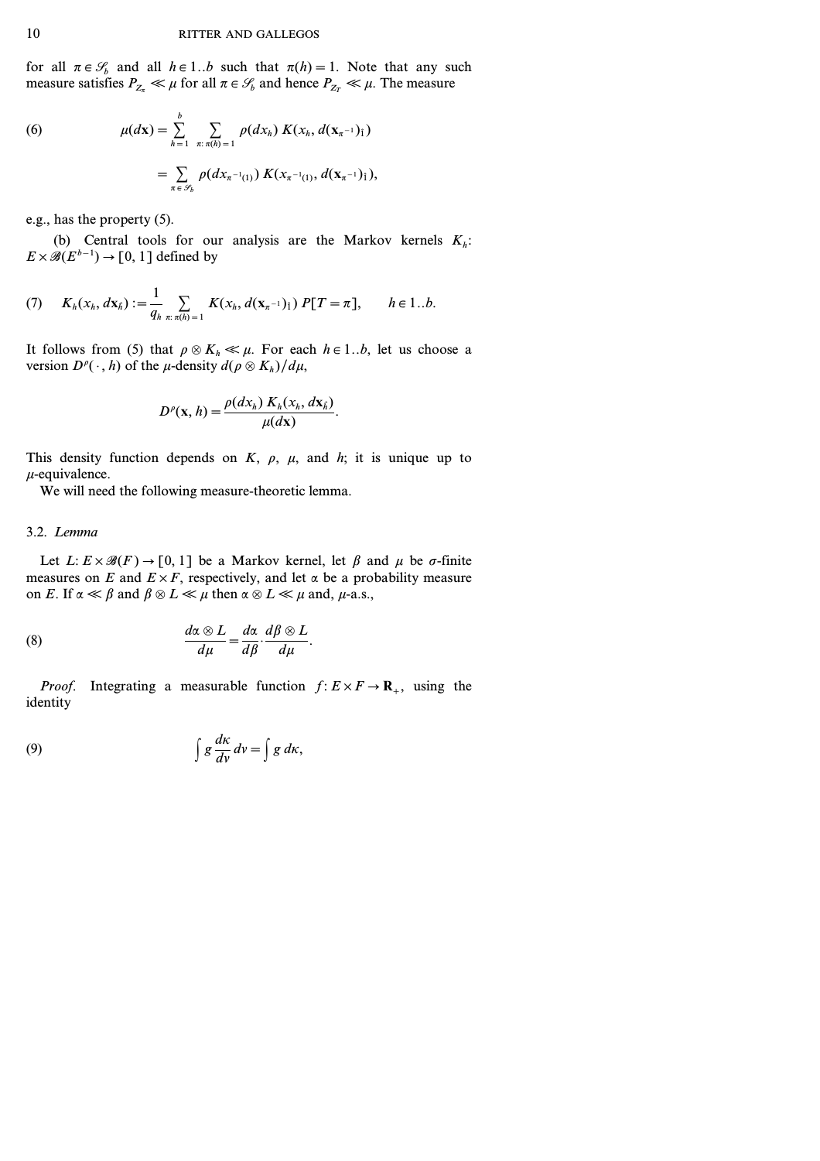for all  $\pi \in \mathcal{S}_b$  and all  $h \in 1..b$  such that  $\pi(h) = 1$ . Note that any such measure satisfies  $P_{Z_{\tau}} \ll \mu$  for all  $\pi \in \mathcal{S}_b$  and hence  $P_{Z_{\tau}} \ll \mu$ . The measure

(6) 
$$
\mu(dx) = \sum_{h=1}^{b} \sum_{\pi: \pi(h)=1} \rho(dx_h) K(x_h, d(\mathbf{x}_{\pi^{-1}})_1)
$$

$$
= \sum_{\pi \in \mathcal{S}_b} \rho(dx_{\pi^{-1}(1)}) K(x_{\pi^{-1}(1)}, d(\mathbf{x}_{\pi^{-1}})_1),
$$

e.g., has the property (5).

(b) Central tools for our analysis are the Markov kernels  $K_h$ : *E* ×  $\mathcal{B}(E^{b-1})$  → [0, 1] defined by

(7) 
$$
K_h(x_h, dx_h) := \frac{1}{q_h} \sum_{\pi: \pi(h) = 1} K(x_h, d(x_{\pi^{-1}})_1) P[T = \pi], \quad h \in 1..b.
$$

It follows from (5) that  $\rho \otimes K_h \ll \mu$ . For each  $h \in 1..b$ , let us choose a version  $D^{\rho}(\cdot, h)$  of the *µ*-density  $d(\rho \otimes K_h)/d\mu$ ,

$$
D^{\rho}(\mathbf{x},h) = \frac{\rho(dx_h) K_h(x_h, dx_h)}{\mu(dx)}.
$$

This density function depends on *K*,  $\rho$ ,  $\mu$ , and *h*; it is unique up to *m*-equivalence.

We will need the following measure-theoretic lemma.

#### 3.2. *Lemma*

Let  $L: E \times \mathcal{B}(F) \to [0, 1]$  be a Markov kernel, let  $\beta$  and  $\mu$  be  $\sigma$ -finite measures on *E* and  $E \times F$ , respectively, and let  $\alpha$  be a probability measure on *E*. If  $\alpha \ll \beta$  and  $\beta \otimes L \ll \mu$  then  $\alpha \otimes L \ll \mu$  and,  $\mu$ -a.s.,

(8) 
$$
\frac{d\alpha \otimes L}{d\mu} = \frac{d\alpha}{d\beta} \cdot \frac{d\beta \otimes L}{d\mu}.
$$

*Proof.* Integrating a measurable function  $f: E \times F \to \mathbb{R}^+$ , using the identity

(9) 
$$
\int g \frac{dx}{dv} dv = \int g dx,
$$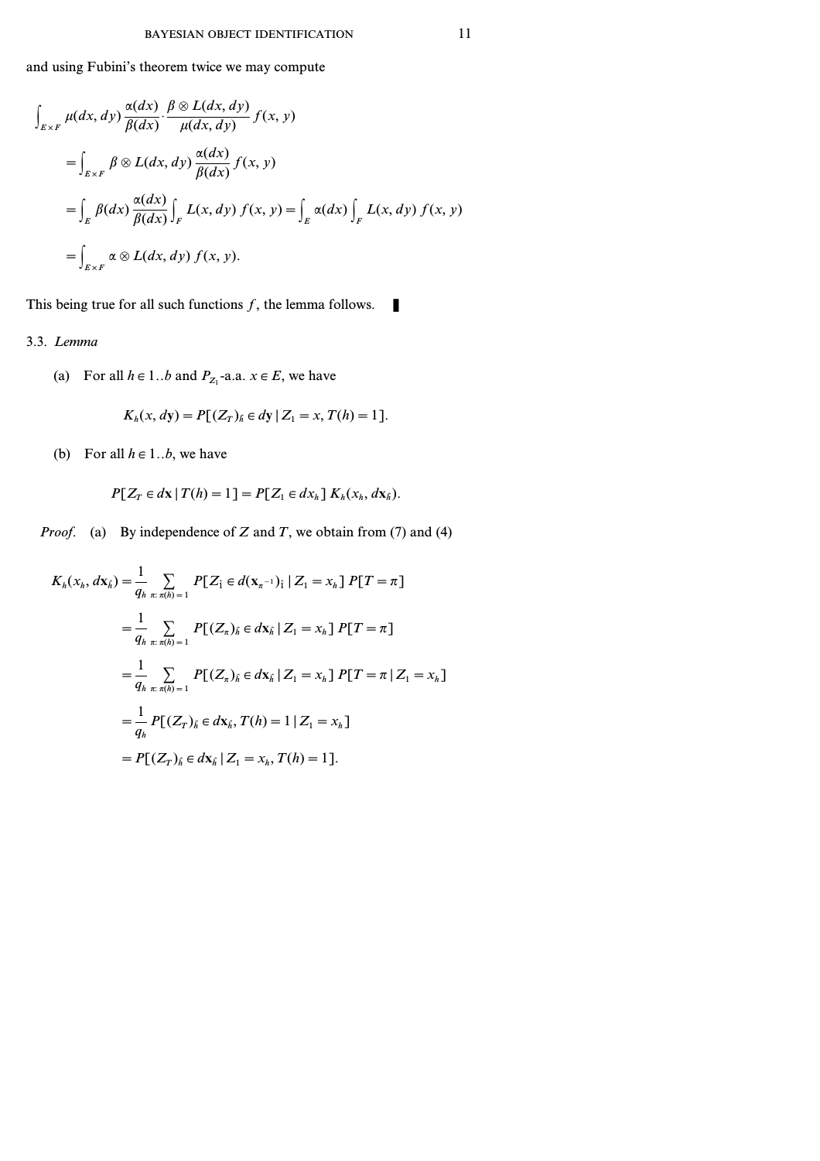and using Fubini's theorem twice we may compute

$$
\int_{E \times F} \mu(dx, dy) \frac{\alpha(dx)}{\beta(dx)} \cdot \frac{\beta \otimes L(dx, dy)}{\mu(dx, dy)} f(x, y)
$$
\n
$$
= \int_{E \times F} \beta \otimes L(dx, dy) \frac{\alpha(dx)}{\beta(dx)} f(x, y)
$$
\n
$$
= \int_{E} \beta(dx) \frac{\alpha(dx)}{\beta(dx)} \int_{F} L(x, dy) f(x, y) = \int_{E} \alpha(dx) \int_{F} L(x, dy) f(x, y)
$$
\n
$$
= \int_{E \times F} \alpha \otimes L(dx, dy) f(x, y).
$$

This being true for all such functions  $f$ , the lemma follows.

# 3.3. *Lemma*

(a) For all  $h \in 1..b$  and  $P_{Z_1}$ -a.a.  $x \in E$ , we have

$$
K_h(x, dy) = P[(Z_T)_{\hat{h}} \in dy \mid Z_1 = x, T(h) = 1].
$$

(b) For all  $h \in 1..b$ , we have

$$
P[Z_T \in dx \,|\, T(h) = 1] = P[Z_1 \in dx_h] \, K_h(x_h, dx_h).
$$

*Proof.* (a) By independence of *Z* and *T*, we obtain from (7) and (4)

$$
K_{h}(x_{h}, d\mathbf{x}_{\hat{h}}) = \frac{1}{q_{h}} \sum_{\pi: \pi(h) = 1} P[Z_{\hat{1}} \in d(\mathbf{x}_{\pi^{-1}})_{\hat{1}} | Z_{1} = x_{h}] P[T = \pi]
$$
  
\n
$$
= \frac{1}{q_{h}} \sum_{\pi: \pi(h) = 1} P[(Z_{\pi})_{\hat{h}} \in d\mathbf{x}_{\hat{h}} | Z_{1} = x_{h}] P[T = \pi]
$$
  
\n
$$
= \frac{1}{q_{h}} \sum_{\pi: \pi(h) = 1} P[(Z_{\pi})_{\hat{h}} \in d\mathbf{x}_{\hat{h}} | Z_{1} = x_{h}] P[T = \pi | Z_{1} = x_{h}]
$$
  
\n
$$
= \frac{1}{q_{h}} P[(Z_{T})_{\hat{h}} \in d\mathbf{x}_{\hat{h}}, T(h) = 1 | Z_{1} = x_{h}]
$$
  
\n
$$
= P[(Z_{T})_{\hat{h}} \in d\mathbf{x}_{\hat{h}} | Z_{1} = x_{h}, T(h) = 1].
$$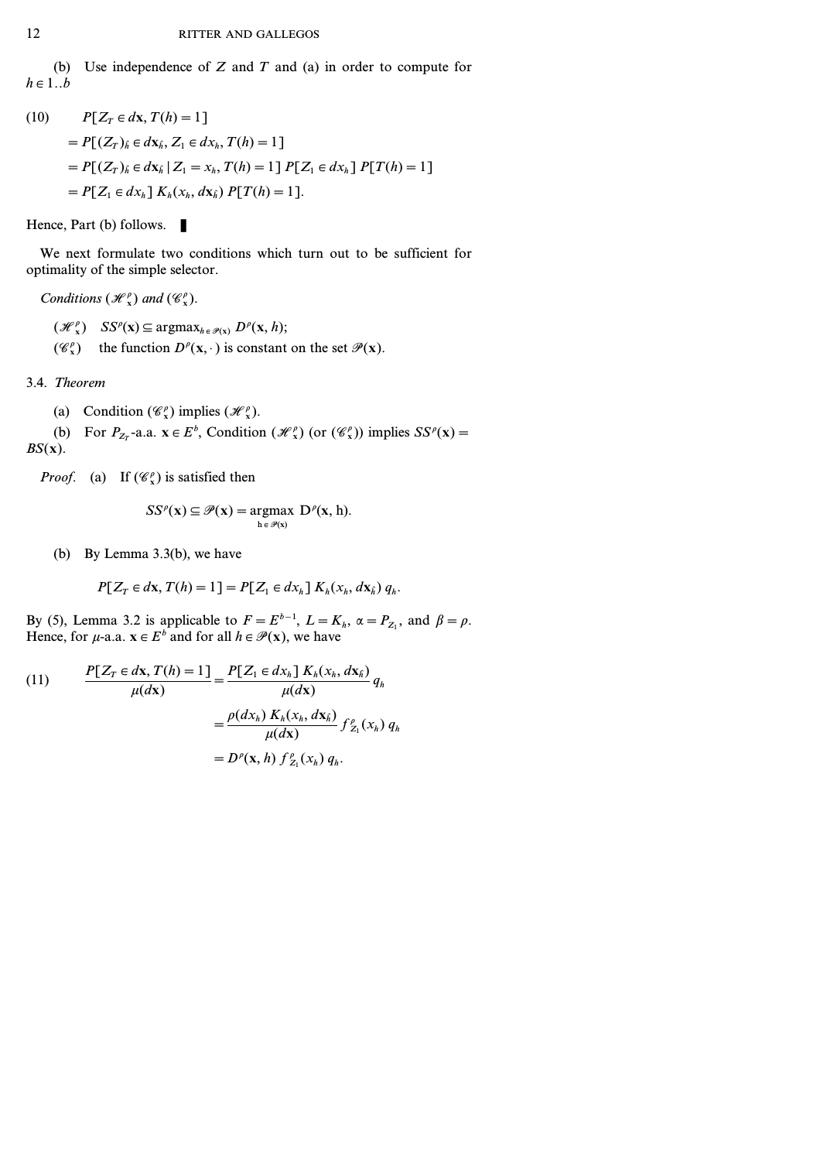(b) Use independence of *Z* and *T* and (a) in order to compute for  $h \in 1..b$ 

(10) 
$$
P[Z_T \in d\mathbf{x}, T(h) = 1]
$$
  
=  $P[(Z_T)_{\hat{h}} \in d\mathbf{x}_{\hat{h}}, Z_1 \in d\mathbf{x}_h, T(h) = 1]$   
=  $P[(Z_T)_{\hat{h}} \in d\mathbf{x}_{\hat{h}} | Z_1 = x_h, T(h) = 1] P[Z_1 \in d\mathbf{x}_{\hat{h}}] P[T(h) = 1]$   
=  $P[Z_1 \in d\mathbf{x}_{\hat{h}}] K_h(\mathbf{x}_{\hat{h}}, d\mathbf{x}_{\hat{h}}) P[T(h) = 1].$ 

Hence, Part (b) follows.

We next formulate two conditions which turn out to be sufficient for optimality of the simple selector.

*Conditions*  $(\mathcal{H}_x^{\rho})$  *and*  $(\mathcal{C}_x^{\rho})$ *.* 

 $(\mathcal{H}_x^{\rho})$   $SS^{\rho}(\mathbf{x}) \subseteq \text{argmax}_{h \in \mathcal{P}(\mathbf{x})} D^{\rho}(\mathbf{x}, h);$ 

( $\mathscr{C}_{\mathbf{x}}^{\rho}$ ) the function  $D^{\rho}(\mathbf{x}, \cdot)$  is constant on the set  $\mathscr{P}(\mathbf{x})$ .

3.4. *Theorem*

(a) Condition  $(\mathscr{C}_{x}^{\rho})$  implies  $(\mathscr{H}_{x}^{\rho})$ .

(b) For  $P_{Z_T}$ -a.a.  $\mathbf{x} \in E^b$ , Condition  $(\mathcal{H}^p_\mathbf{x})$  (or  $(\mathcal{C}^p_\mathbf{x})$ ) implies  $SS^p(\mathbf{x}) =$ *BS(***x***)*.

*Proof.* (a) If  $(\mathcal{C}_x^{\rho})$  is satisfied then

$$
SS^{\rho}(\mathbf{x}) \subseteq \mathcal{P}(\mathbf{x}) = \underset{\mathbf{h} \in \mathcal{P}(\mathbf{x})}{\operatorname{argmax}} \ \mathbf{D}^{\rho}(\mathbf{x}, \mathbf{h}).
$$

(b) By Lemma 3.3(b), we have

$$
P[Z_T \in dx, T(h) = 1] = P[Z_1 \in dx_h] K_h(x_h, dx_h) q_h.
$$

By (5), Lemma 3.2 is applicable to  $F = E^{b-1}$ ,  $L = K_h$ ,  $\alpha = P_{Z_1}$ , and  $\beta = \rho$ . Hence, for  $\mu$ -a.a.  $\mathbf{x} \in E^b$  and for all  $h \in \mathcal{P}(\mathbf{x})$ , we have

(11) 
$$
\frac{P[Z_T \in dx, T(h) = 1]}{\mu(dx)} = \frac{P[Z_1 \in dx_h] K_h(x_h, dx_h)}{\mu(dx)} q_h
$$

$$
= \frac{\rho(dx_h) K_h(x_h, dx_h)}{\mu(dx)} f_{Z_1}^{\rho}(x_h) q_h
$$

$$
= D^{\rho}(x, h) f_{Z_1}^{\rho}(x_h) q_h.
$$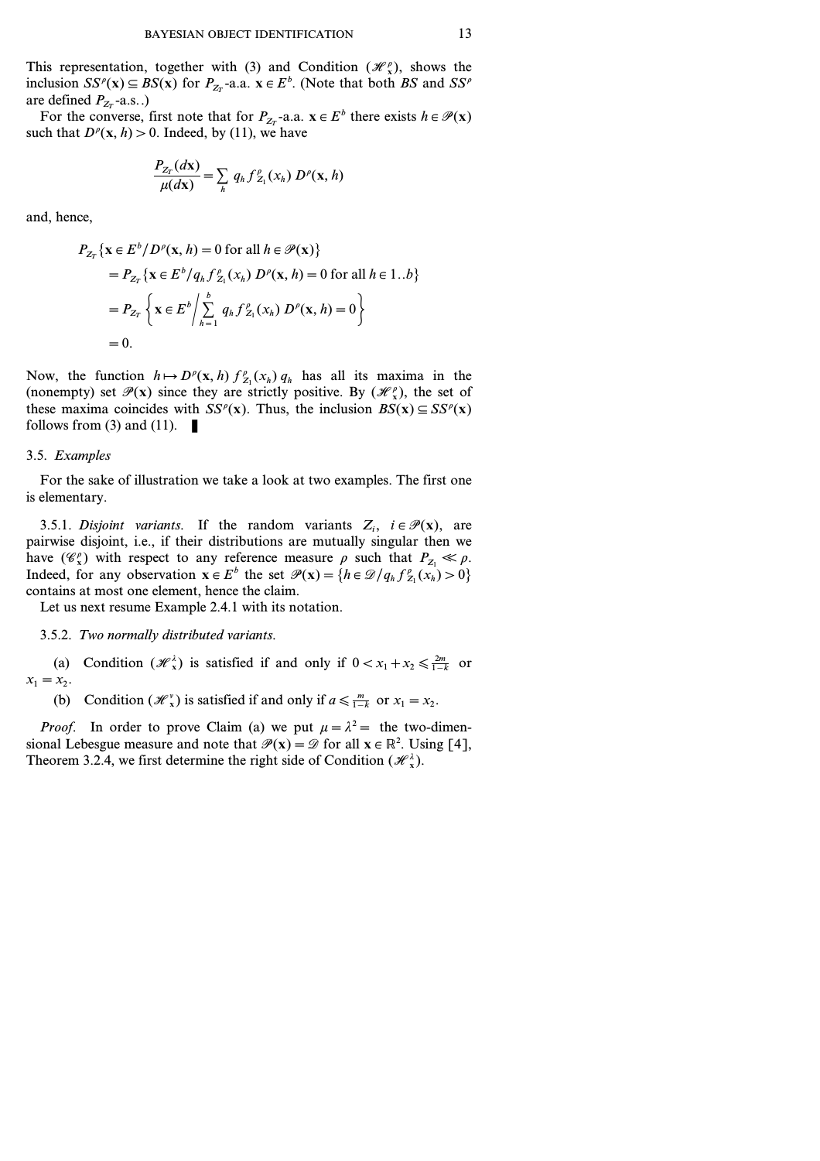This representation, together with (3) and Condition  $(\mathcal{H}_x^{\rho})$ , shows the inclusion  $SS^{\rho}(\mathbf{x}) \subseteq BS(\mathbf{x})$  for  $P_{Z_T}$ -a.a.  $\mathbf{x} \in E^b$ . (Note that both *BS* and  $SS^{\rho}$ are defined  $P_{Z_T}$ -a.s..)

For the converse, first note that for  $P_{Z_T}$ -a.a.  $\mathbf{x} \in E^b$  there exists  $h \in \mathcal{P}(\mathbf{x})$ such that  $D^p(x, h) > 0$ . Indeed, by (11), we have

$$
\frac{P_{Z_T}(d\mathbf{x})}{\mu(d\mathbf{x})} = \sum_h q_h f_{Z_1}^{\rho}(x_h) D^{\rho}(\mathbf{x}, h)
$$

and, hence,

$$
P_{Z_T} \{ \mathbf{x} \in E^b / D^{\rho}(\mathbf{x}, h) = 0 \text{ for all } h \in \mathcal{P}(\mathbf{x}) \}
$$
  
=  $P_{Z_T} \{ \mathbf{x} \in E^b / q_h f_{Z_1}^{\rho} (x_h) D^{\rho}(\mathbf{x}, h) = 0 \text{ for all } h \in 1..b \}$   
=  $P_{Z_T} \{ \mathbf{x} \in E^b / \sum_{h=1}^b q_h f_{Z_1}^{\rho} (x_h) D^{\rho}(\mathbf{x}, h) = 0 \}$   
= 0.

Now, the function  $h \mapsto D^{\rho}(\mathbf{x}, h) f_{Z_1}^{\rho}(x_h) q_h$  has all its maxima in the (nonempty) set  $\mathcal{P}(x)$  since they are strictly positive. By  $(\mathcal{H}_x^{\rho})$ , the set of these maxima coincides with  $SS^{\rho}(x)$ . Thus, the inclusion  $BS(x) \subseteq SS^{\rho}(x)$ follows from (3) and (11).  $\blacksquare$ 

#### 3.5. *Examples*

For the sake of illustration we take a look at two examples. The first one is elementary.

3.5.1. *Disjoint variants*. If the random variants  $Z_i$ ,  $i \in \mathcal{P}(\mathbf{x})$ , are pairwise disjoint, i.e., if their distributions are mutually singular then we have  $(\mathscr{C}_x^{\rho})$  with respect to any reference measure  $\rho$  such that  $P_{Z_1} \ll \rho$ . Indeed, for any observation  $\mathbf{x} \in E^b$  the set  $\mathcal{P}(\mathbf{x}) = \{h \in \mathcal{D}/q_h f_{Z_1}^{\rho}(\mathbf{x}_h) > 0\}$ contains at most one element, hence the claim.

Let us next resume Example 2.4.1 with its notation.

#### 3.5.2. *Two normally distributed variants.*

(a) Condition  $(H_x^{\lambda})$  is satisfied if and only if  $0 < x_1 + x_2 \le \frac{2m}{1-k}$  or  $x_1 = x_2$ .

(b) Condition  $(\mathcal{H}_x^v)$  is satisfied if and only if  $a \le \frac{m}{1-k}$  or  $x_1 = x_2$ .

*Proof.* In order to prove Claim (a) we put  $\mu = \lambda^2 =$  the two-dimensional Lebesgue measure and note that  $\mathcal{P}(x) = \mathcal{D}$  for all  $x \in \mathbb{R}^2$ . Using [4], Theorem 3.2.4, we first determine the right side of Condition  $(H^{\lambda}_{x})$ .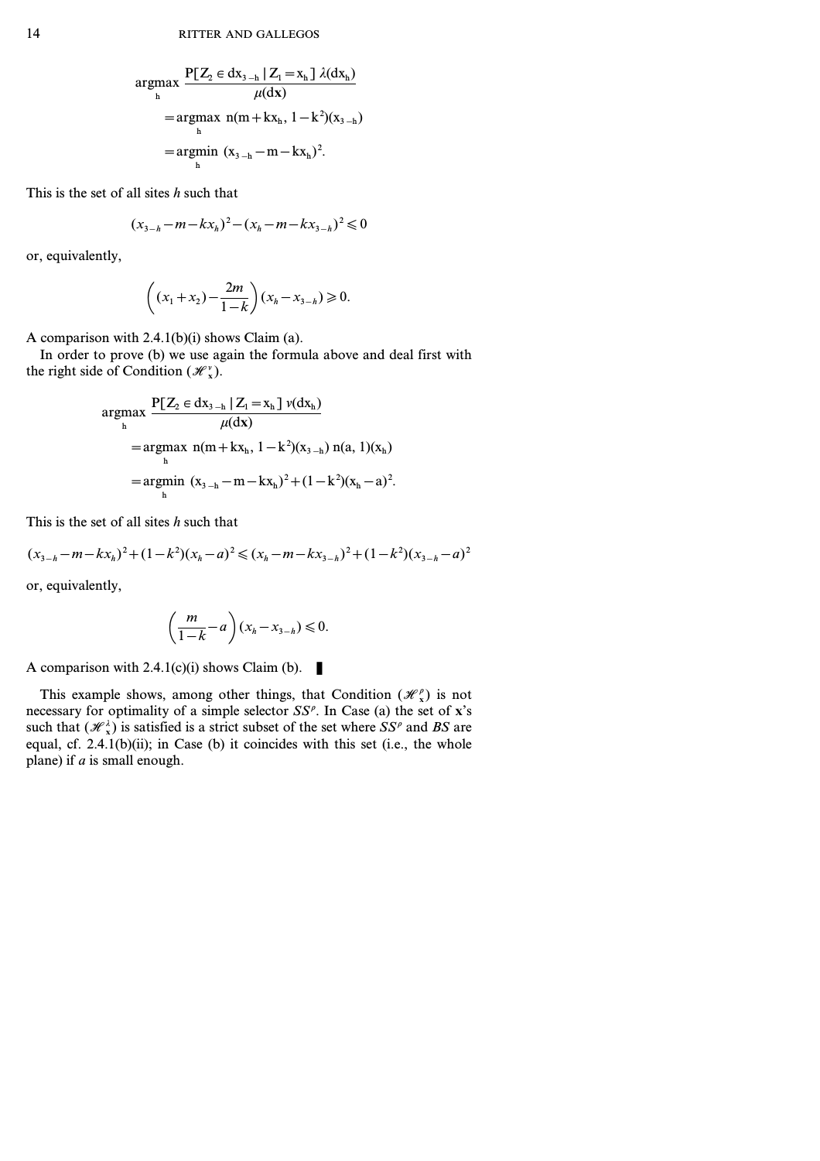$$
\underset{h}{\operatorname{argmax}} \frac{P[Z_2 \in dx_{3-h} | Z_1 = x_h] \lambda(dx_h)}{\mu(dx)} \n= \underset{h}{\operatorname{argmax}} n(m + kx_h, 1 - k^2)(x_{3-h}) \n= \underset{h}{\operatorname{argmin}} (x_{3-h} - m - kx_h)^2.
$$

This is the set of all sites *h* such that

$$
(x_{3-h}-m-kx_h)^2-(x_h-m-kx_{3-h})^2\leq 0
$$

or, equivalently,

$$
\left((x_1 + x_2) - \frac{2m}{1-k}\right)(x_h - x_{3-h}) \ge 0.
$$

A comparison with 2.4.1(b)(i) shows Claim (a).

In order to prove (b) we use again the formula above and deal first with the right side of Condition  $(\mathcal{H}_x^{\nu})$ .

$$
\underset{h}{\operatorname{argmax}} \frac{P[Z_2 \in dx_{3-h} | Z_1 = x_h] \nu(dx_h)}{\mu(dx)} \n= \underset{h}{\operatorname{argmax}} \ n(m + kx_h, 1 - k^2)(x_{3-h}) \ n(a, 1)(x_h) \n= \underset{h}{\operatorname{argmin}} (x_{3-h} - m - kx_h)^2 + (1 - k^2)(x_h - a)^2.
$$

This is the set of all sites *h* such that

$$
(x_{3-h}-m-kx_h)^2+(1-k^2)(x_h-a)^2\leq (x_h-m-kx_{3-h})^2+(1-k^2)(x_{3-h}-a)^2
$$

or, equivalently,

$$
\left(\frac{m}{1-k}-a\right)(x_h-x_{3-h})\leq 0.
$$

A comparison with 2.4.1(c)(i) shows Claim (b).

This example shows, among other things, that Condition  $(\mathcal{H}_x^{\rho})$  is not necessary for optimality of a simple selector *SS<sup>r</sup>* . In Case (a) the set of **x**'s such that  $(\mathcal{H}_x)$  is satisfied is a strict subset of the set where *SS<sup>p</sup>* and *BS* are equal, cf.  $2.4.1(b)(ii)$ ; in Case (b) it coincides with this set (i.e., the whole plane) if *a* is small enough.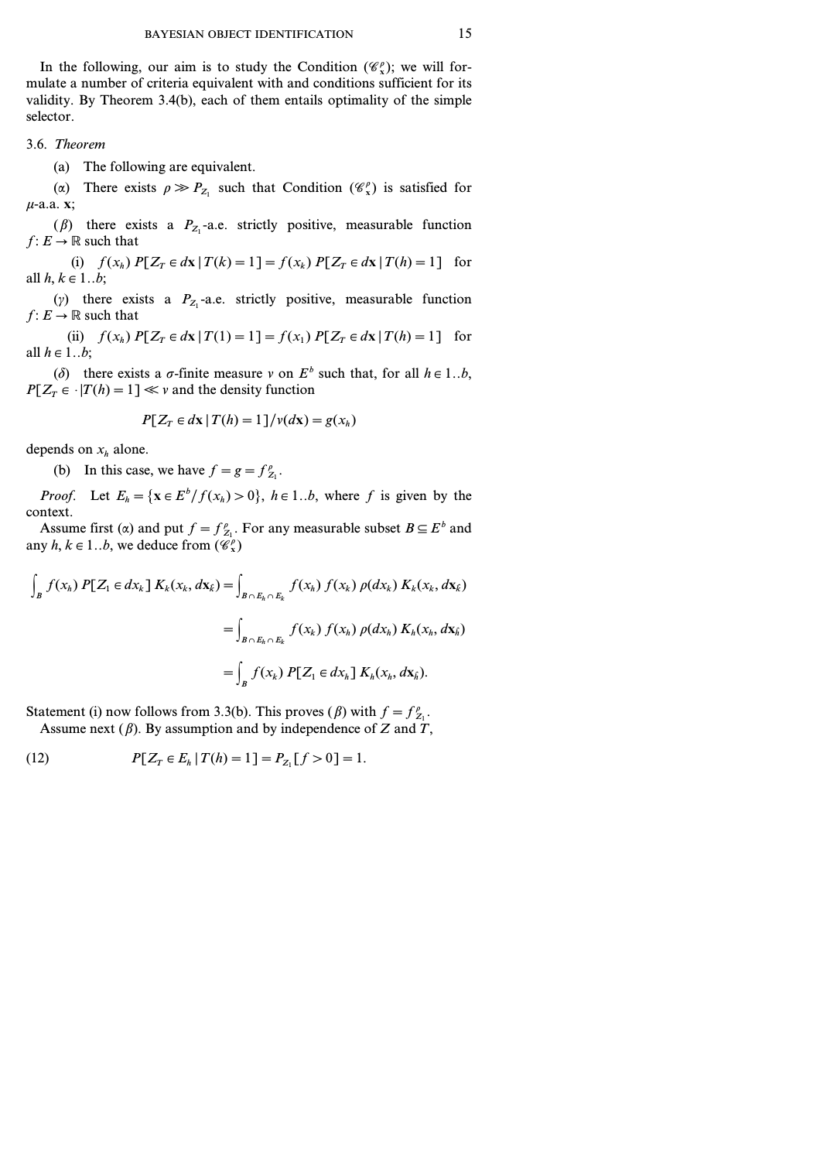In the following, our aim is to study the Condition  $(\mathscr{C}_{x}^{\rho})$ ; we will formulate a number of criteria equivalent with and conditions sufficient for its validity. By Theorem 3.4(b), each of them entails optimality of the simple selector.

3.6. *Theorem*

(a) The following are equivalent.

( $\alpha$ ) There exists  $\rho \gg P_{Z_1}$  such that Condition  $(\mathscr{C}_x^{\rho})$  is satisfied for *m*-a.a. **x**;

( $\beta$ ) there exists a  $P_{Z_1}$ -a.e. strictly positive, measurable function *f*:  $E \rightarrow \mathbb{R}$  such that

(i)  $f(x_h) P[Z_T \in dx | T(k) = 1] = f(x_h) P[Z_T \in dx | T(h) = 1]$  for all  $h, k \in 1..b$ ;

( $\gamma$ ) there exists a  $P_{Z_1}$ -a.e. strictly positive, measurable function *f*:  $E \rightarrow \mathbb{R}$  such that

(ii)  $f(x_h) P[Z_T \in dx | T(1) = 1] = f(x_1) P[Z_T \in dx | T(h) = 1]$  for all  $h \in 1..b$ ;

( $\delta$ ) there exists a  $\sigma$ -finite measure  $\nu$  on  $E^b$  such that, for all  $h \in 1..b$ ,  $P[Z_T \in |T(h)=1] \ll v$  and the density function

$$
P[Z_T \in dx \mid T(h) = 1]/\nu(dx) = g(x_h)
$$

depends on  $x_h$  alone.

(b) In this case, we have  $f = g = f_{Z_1}^{\rho}$ .

*Proof.* Let  $E_h = {\mathbf{x} \in E^b / f(x_h) > 0}$ ,  $h \in 1..b$ , where *f* is given by the context.

Assume first ( $\alpha$ ) and put  $f = f_{Z_1}^{\rho}$ . For any measurable subset  $B \subseteq E^b$  and any  $h, k \in 1..b$ , we deduce from  $(\mathscr{C}_x^{\rho})$ 

$$
\int_{B} f(x_{h}) P[Z_{1} \in dx_{k}] K_{k}(x_{k}, d\mathbf{x}_{k}) = \int_{B \cap E_{h} \cap E_{k}} f(x_{h}) f(x_{k}) \rho(dx_{k}) K_{k}(x_{k}, d\mathbf{x}_{k})
$$
\n
$$
= \int_{B \cap E_{h} \cap E_{k}} f(x_{h}) f(x_{h}) \rho(dx_{h}) K_{h}(x_{h}, d\mathbf{x}_{h})
$$
\n
$$
= \int_{B} f(x_{k}) P[Z_{1} \in dx_{h}] K_{h}(x_{h}, d\mathbf{x}_{h}).
$$

Statement (i) now follows from 3.3(b). This proves ( $\beta$ ) with  $f = f_{Z_1}^{\rho}$ . Assume next (*b*). By assumption and by independence of *Z* and *T*,

(12) 
$$
P[Z_T \in E_h | T(h) = 1] = P_{Z_1}[f > 0] = 1.
$$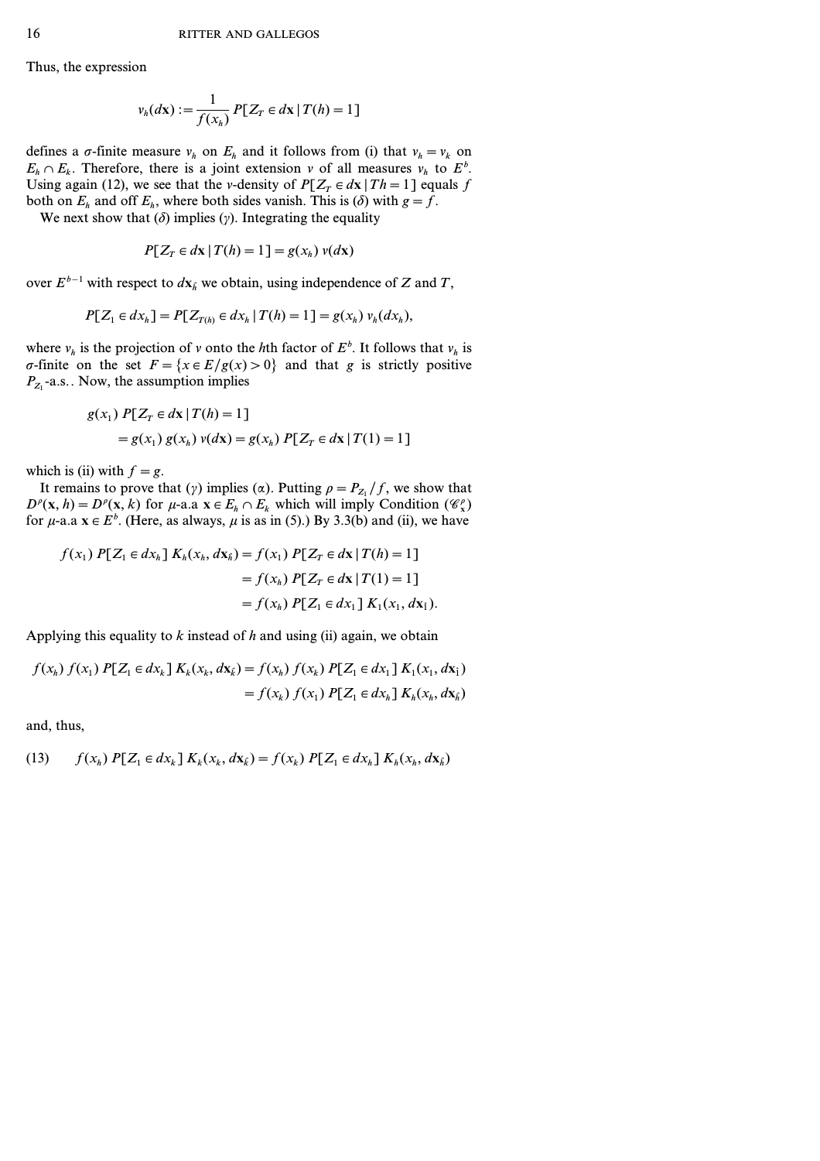Thus, the expression

$$
\nu_h(dx) := \frac{1}{f(x_h)} P[Z_T \in dx \mid T(h) = 1]
$$

defines a  $\sigma$ -finite measure  $v_h$  on  $E_h$  and it follows from (i) that  $v_h = v_k$  on  $E_h \cap E_k$ . Therefore, there is a joint extension *v* of all measures  $v_h$  to  $E^b$ . Using again (12), we see that the *v*-density of  $P[Z_T \in dx | Th = 1]$  equals *f* both on  $E_h$  and off  $E_h$ , where both sides vanish. This is ( $\delta$ ) with  $g = f$ .

We next show that  $(\delta)$  implies  $(\gamma)$ . Integrating the equality

$$
P[Z_T \in dx \,|\, T(h) = 1] = g(x_h) \,v(dx)
$$

over *Eb−1* with respect to *d***x***<sup>h</sup> <sup>ˆ</sup>* we obtain, using independence of *Z* and *T*,

$$
P[Z_1 \in dx_h] = P[Z_{T(h)} \in dx_h | T(h) = 1] = g(x_h) v_h(dx_h),
$$

where  $v_h$  is the projection of *v* onto the *h*th factor of  $E^b$ . It follows that  $v_h$  is  $\sigma$ -finite on the set  $F = \{x \in E/g(x) > 0\}$  and that *g* is strictly positive  $P_{Z_1}$ -a.s.. Now, the assumption implies

$$
g(x_1) P[Z_T \in dx | T(h) = 1]
$$
  
=  $g(x_1) g(x_h) v(dx) = g(x_h) P[Z_T \in dx | T(1) = 1]$ 

which is (ii) with  $f = g$ .

It remains to prove that ( $\gamma$ ) implies ( $\alpha$ ). Putting  $\rho = P_{Z_1}/f$ , we show that  $D^{\rho}(\mathbf{x}, h) = D^{\rho}(\mathbf{x}, k)$  for *µ*-a.a  $\mathbf{x} \in E_h \cap E_k$  which will imply Condition  $(\mathcal{C}^{\rho}_{\mathbf{x}})$ for  $\mu$ -a.a  $\mathbf{x} \in E^b$ . (Here, as always,  $\mu$  is as in (5).) By 3.3(b) and (ii), we have

$$
f(x_1) P[Z_1 \in dx_h] K_h(x_h, dx_h) = f(x_1) P[Z_T \in dx | T(h) = 1]
$$
  
=  $f(x_h) P[Z_T \in dx | T(1) = 1]$   
=  $f(x_h) P[Z_1 \in dx_1] K_1(x_1, dx_1).$ 

Applying this equality to *k* instead of *h* and using (ii) again, we obtain

$$
f(x_h) f(x_1) P[Z_1 \in dx_k] K_k(x_k, dx_k) = f(x_h) f(x_k) P[Z_1 \in dx_1] K_1(x_1, dx_1)
$$
  
=  $f(x_k) f(x_1) P[Z_1 \in dx_h] K_k(x_k, dx_h)$ 

and, thus,

(13) 
$$
f(x_h) P[Z_1 \in dx_k] K_k(x_k, dx_k) = f(x_k) P[Z_1 \in dx_h] K_k(x_h, dx_h)
$$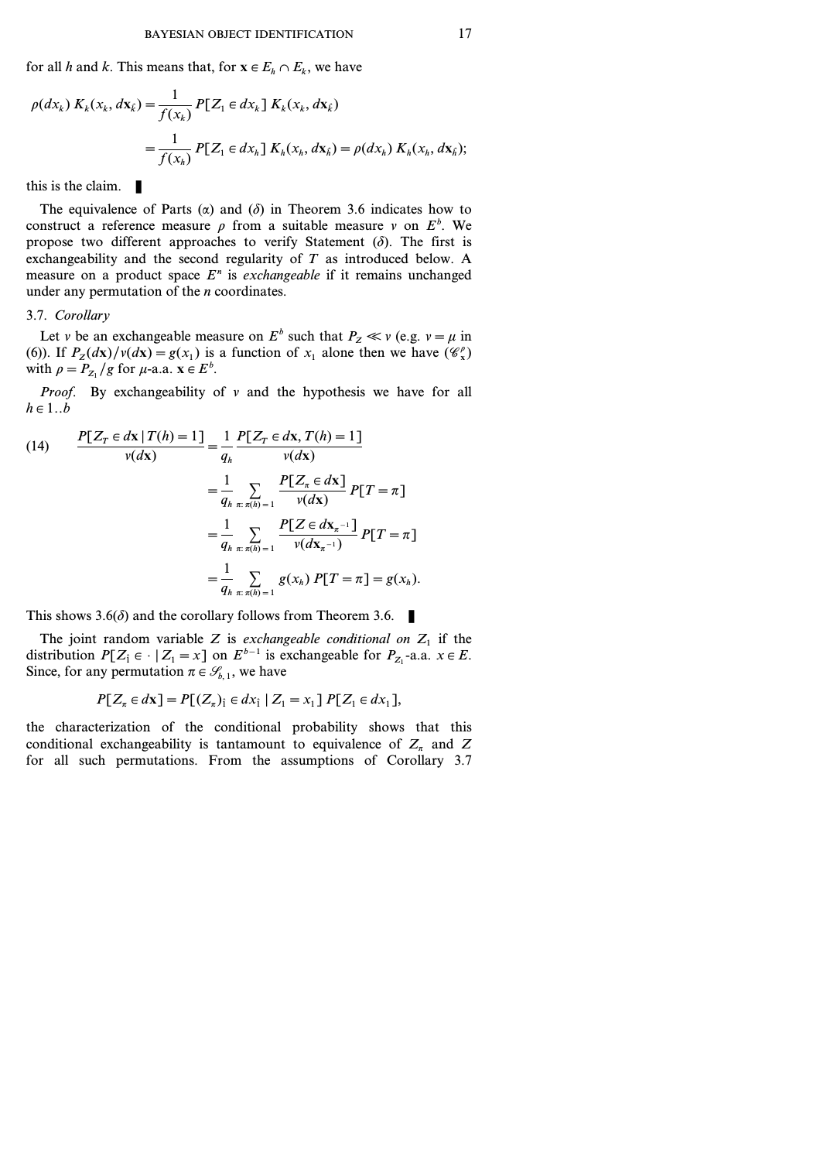for all *h* and *k*. This means that, for  $\mathbf{x} \in E_h \cap E_k$ , we have

$$
\rho(dx_k) K_k(x_k, dx_k) = \frac{1}{f(x_k)} P[Z_1 \in dx_k] K_k(x_k, dx_k)
$$
  
= 
$$
\frac{1}{f(x_h)} P[Z_1 \in dx_h] K_k(x_h, dx_h) = \rho(dx_h) K_k(x_h, dx_h);
$$

this is the claim.  $\blacksquare$ 

The equivalence of Parts  $(\alpha)$  and  $(\delta)$  in Theorem 3.6 indicates how to construct a reference measure  $\rho$  from a suitable measure  $\nu$  on  $E^b$ . We propose two different approaches to verify Statement  $(\delta)$ . The first is exchangeability and the second regularity of *T* as introduced below. A measure on a product space *E<sup>n</sup>* is *exchangeable* if it remains unchanged under any permutation of the *n* coordinates.

# 3.7. *Corollary*

Let *v* be an exchangeable measure on  $E^b$  such that  $P_z \ll v$  (e.g.  $v = \mu$  in (6)). If  $P_Z(dx)/\nu(dx) = g(x_1)$  is a function of  $x_1$  alone then we have  $(\mathscr{C}_x)$ with  $\rho = P_{Z_1}/g$  for  $\mu$ -a.a.  $\mathbf{x} \in E^b$ .

*Proof.* By exchangeability of  $\nu$  and the hypothesis we have for all  $h \in 1..b$ 

(14) 
$$
\frac{P[Z_T \in dx | T(h) = 1]}{v(dx)} = \frac{1}{q_h} \frac{P[Z_T \in dx, T(h) = 1]}{v(dx)}
$$

$$
= \frac{1}{q_h} \sum_{\substack{x: \pi(h) = 1}} \frac{P[Z_\pi \in dx]}{v(dx)} P[T = \pi]
$$

$$
= \frac{1}{q_h} \sum_{\substack{x: \pi(h) = 1}} \frac{P[Z \in dx_{\pi^{-1}}]}{v(dx_{\pi^{-1}})} P[T = \pi]
$$

$$
= \frac{1}{q_h} \sum_{\substack{x: \pi(h) = 1}} g(x_h) P[T = \pi] = g(x_h).
$$

This shows  $3.6(\delta)$  and the corollary follows from Theorem 3.6.

The joint random variable *Z* is *exchangeable conditional on*  $Z_1$  if the distribution  $P[Z_1 \in \cdot | Z_1 = x]$  on  $E^{b-1}$  is exchangeable for  $P_{Z_1}$ -a.a.  $x \in E$ . Since, for any permutation  $\pi \in \mathcal{G}_{b-1}$ , we have

$$
P[Z_{\pi} \in dx] = P[(Z_{\pi})_i \in dx_i | Z_1 = x_1] P[Z_1 \in dx_1],
$$

the characterization of the conditional probability shows that this conditional exchangeability is tantamount to equivalence of  $Z_p$  and  $Z_p$ for all such permutations. From the assumptions of Corollary 3.7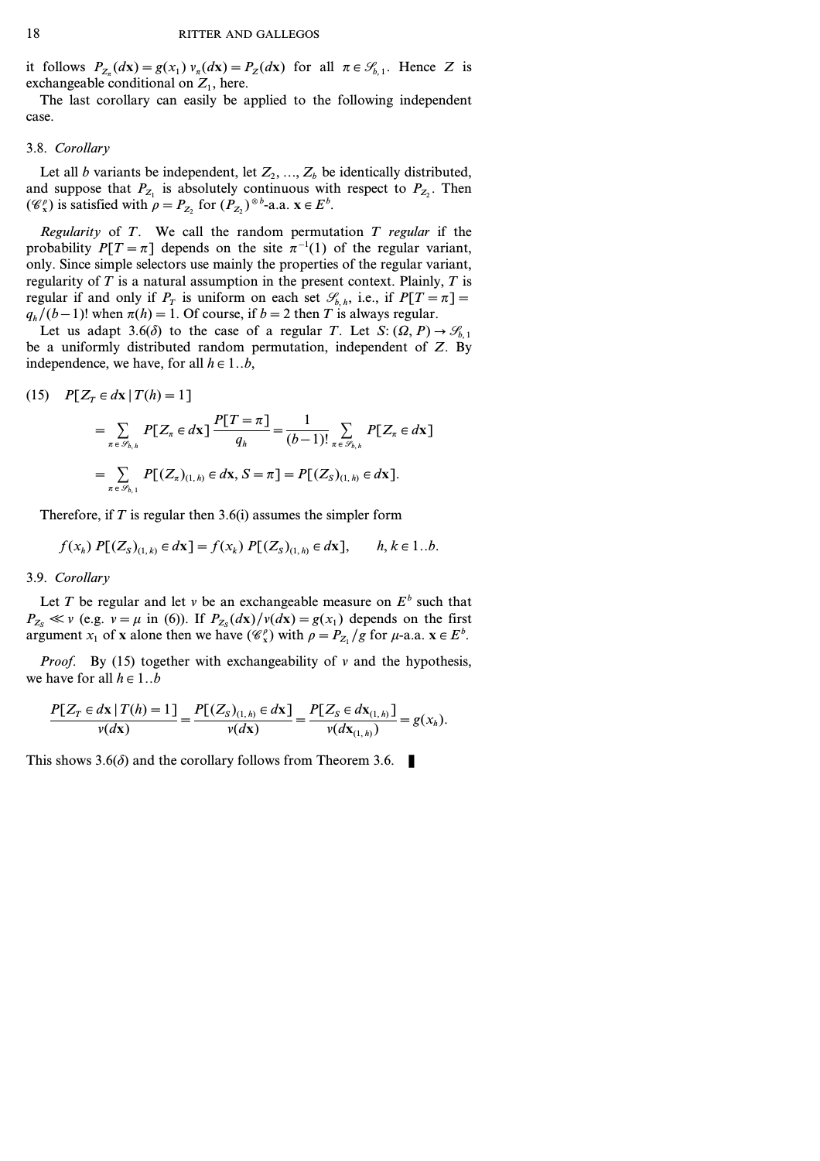it follows  $P_{Z_{\tau}}(d\mathbf{x}) = g(x_1) v_{\tau}(d\mathbf{x}) = P_Z(d\mathbf{x})$  for all  $\pi \in \mathcal{S}_{b,1}$ . Hence *Z* is exchangeable conditional on  $Z_1$ , here.

The last corollary can easily be applied to the following independent case.

### 3.8. *Corollary*

Let all *b* variants be independent, let  $Z_2, ..., Z_b$  be identically distributed, and suppose that  $P_{Z_1}$  is absolutely continuous with respect to  $P_{Z_2}$ . Then ( $\mathcal{C}^{\rho}_{\mathbf{x}}$ ) is satisfied with  $\rho = P_{Z_2}$  for  $(P_{Z_2})^{\otimes b}$ -a.a.  $\mathbf{x} \in E^b$ .

*Regularity* of *T*. We call the random permutation *T regular* if the probability  $P[T = \pi]$  depends on the site  $\pi^{-1}(1)$  of the regular variant, only. Since simple selectors use mainly the properties of the regular variant, regularity of *T* is a natural assumption in the present context. Plainly, *T* is regular if and only if  $P_T$  is uniform on each set  $\mathscr{S}_{b,h}$ , i.e., if  $P[T=\pi] =$  $q_h/(b-1)!$  when  $\pi(h) = 1$ . Of course, if  $b = 2$  then *T* is always regular.

Let us adapt 3.6( $\delta$ ) to the case of a regular *T*. Let *S*:  $(\Omega, P) \rightarrow \mathcal{G}_{b, 1}$ be a uniformly distributed random permutation, independent of *Z*. By independence, we have, for all  $h \in 1..b$ ,

(15) 
$$
P[Z_T \in d\mathbf{x} | T(h) = 1]
$$
  
=  $\sum_{\pi \in \mathcal{S}_{b,h}} P[Z_{\pi} \in d\mathbf{x}] \frac{P[T = \pi]}{q_h} = \frac{1}{(b-1)!} \sum_{\pi \in \mathcal{S}_{b,h}} P[Z_{\pi} \in d\mathbf{x}]$   
=  $\sum_{\pi \in \mathcal{S}_{b,1}} P[(Z_{\pi})_{(1,h)} \in d\mathbf{x}, S = \pi] = P[(Z_S)_{(1,h)} \in d\mathbf{x}].$ 

Therefore, if *T* is regular then 3.6(i) assumes the simpler form

$$
f(x_h) P[(Z_S)_{(1,k)} \in d\mathbf{x}] = f(x_k) P[(Z_S)_{(1,h)} \in d\mathbf{x}], \quad h, k \in 1..b.
$$

#### 3.9. *Corollary*

Let *T* be regular and let *v* be an exchangeable measure on  $E^b$  such that  $P_{Z_s} \ll v$  (e.g.  $v = \mu$  in (6)). If  $P_{Z_s}(dx)/v(dx) = g(x_1)$  depends on the first argument *x*<sub>1</sub> of **x** alone then we have  $(\mathcal{C}^{\rho}_{x})$  with  $\rho = P_{Z_1}/g$  for  $\mu$ -a.a.  $\mathbf{x} \in E^b$ .

*Proof.* By (15) together with exchangeability of *v* and the hypothesis, we have for all  $h \in 1..b$ 

$$
\frac{P[Z_T \in dx \mid T(h) = 1]}{\nu(dx)} = \frac{P[(Z_S)_{(1,h)} \in dx]}{\nu(dx)} = \frac{P[Z_S \in dx_{(1,h)}]}{\nu(dx_{(1,h)})} = g(x_h).
$$

This shows  $3.6(\delta)$  and the corollary follows from Theorem 3.6.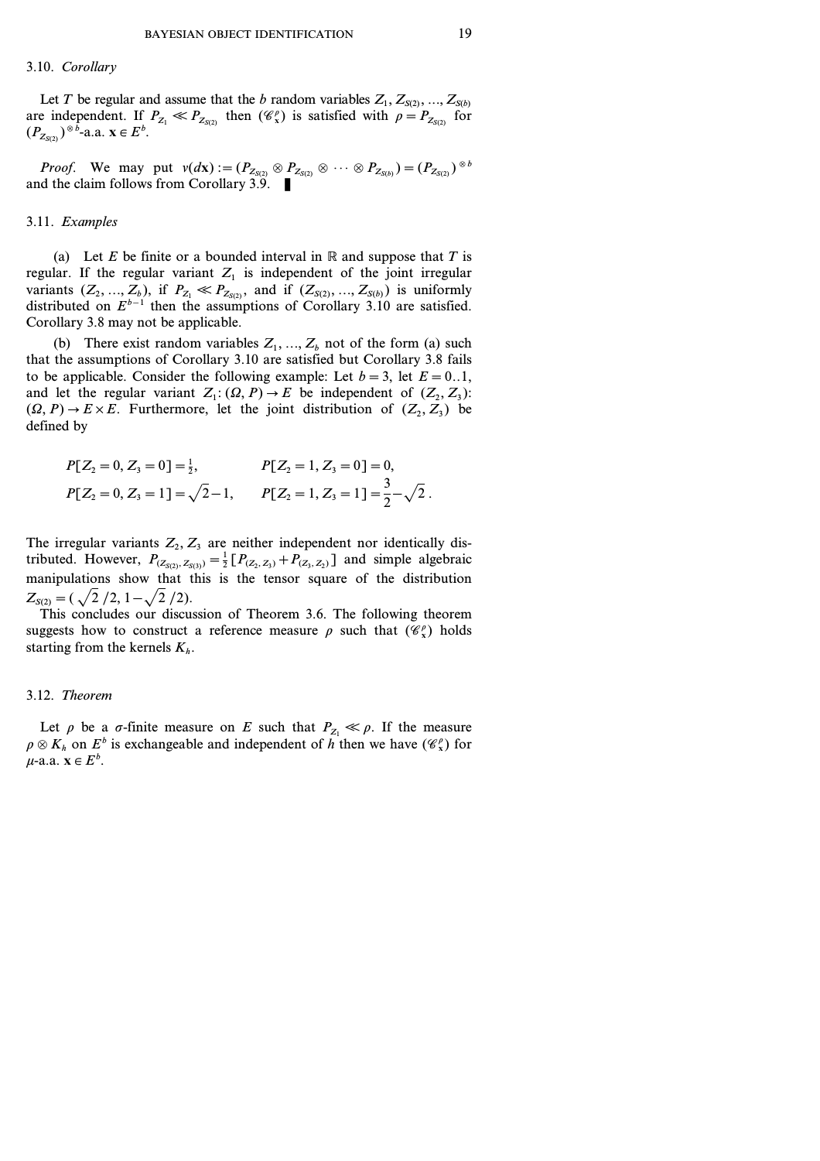#### 3.10. *Corollary*

Let *T* be regular and assume that the *b* random variables  $Z_1, Z_{S(2)}, ..., Z_{S(b)}$ are independent. If  $P_{Z_1} \ll P_{Z_{S(2)}}$  then  $(\mathscr{C}_x^{\rho})$  is satisfied with  $\rho = P_{Z_{S(2)}}$  for  $(P_{Z_{S(2)}})^{\otimes b}$ -a.a.  $\mathbf{x} \in E^b$ .

*Proof.* We may put  $v(dx) := (P_{Z_{S(2)}} \otimes P_{Z_{S(2)}} \otimes \cdots \otimes P_{Z_{S(b)}}) = (P_{Z_{S(2)}})^{\otimes b}$ and the claim follows from Corollary 3.9.  $\blacksquare$ 

#### 3.11. *Examples*

(a) Let *E* be finite or a bounded interval in  $\mathbb R$  and suppose that *T* is regular. If the regular variant  $Z_1$  is independent of the joint irregular variants  $(Z_2, ..., Z_b)$ , if  $P_{Z_1} \ll P_{Z_{S(2)}},$  and if  $(Z_{S(2)}, ..., Z_{S(b)})$  is uniformly distributed on *Eb−1* then the assumptions of Corollary 3.10 are satisfied. Corollary 3.8 may not be applicable.

(b) There exist random variables  $Z_1, \ldots, Z_b$  not of the form (a) such that the assumptions of Corollary 3.10 are satisfied but Corollary 3.8 fails to be applicable. Consider the following example: Let  $b = 3$ , let  $E = 0.1$ , and let the regular variant  $Z_1$ :  $(\Omega, P) \rightarrow E$  be independent of  $(Z_2, Z_3)$ :  $(\Omega, P) \rightarrow E \times E$ . Furthermore, let the joint distribution of  $(Z_2, Z_3)$  be defined by

$$
P[Z_2 = 0, Z_3 = 0] = \frac{1}{2}, \qquad P[Z_2 = 1, Z_3 = 0] = 0,
$$
  

$$
P[Z_2 = 0, Z_3 = 1] = \sqrt{2} - 1, \qquad P[Z_2 = 1, Z_3 = 1] = \frac{3}{2} - \sqrt{2}.
$$

The irregular variants  $Z_2, Z_3$  are neither independent nor identically distributed. However,  $P_{(Z_{S(2)}, Z_{S(3)})} = \frac{1}{2} [P_{(Z_2, Z_3)} + P_{(Z_3, Z_2)}]$  and simple algebraic manipulations show that this is the tensor square of the distribution  $Z_{S(2)} = (\sqrt{2}/2, 1 - \sqrt{2}/2).$ 

This concludes our discussion of Theorem 3.6. The following theorem suggests how to construct a reference measure  $\rho$  such that  $(\mathscr{C}_x^{\rho})$  holds starting from the kernels  $K_h$ .

#### 3.12. *Theorem*

Let  $\rho$  be a  $\sigma$ -finite measure on *E* such that  $P_{Z_1} \ll \rho$ . If the measure  $\rho \otimes K_h$  on  $E^b$  is exchangeable and independent of *h* then we have  $(\mathscr{C}_x^{\rho})$  for  $\mu$ -a.a.  $\mathbf{x} \in E^b$ .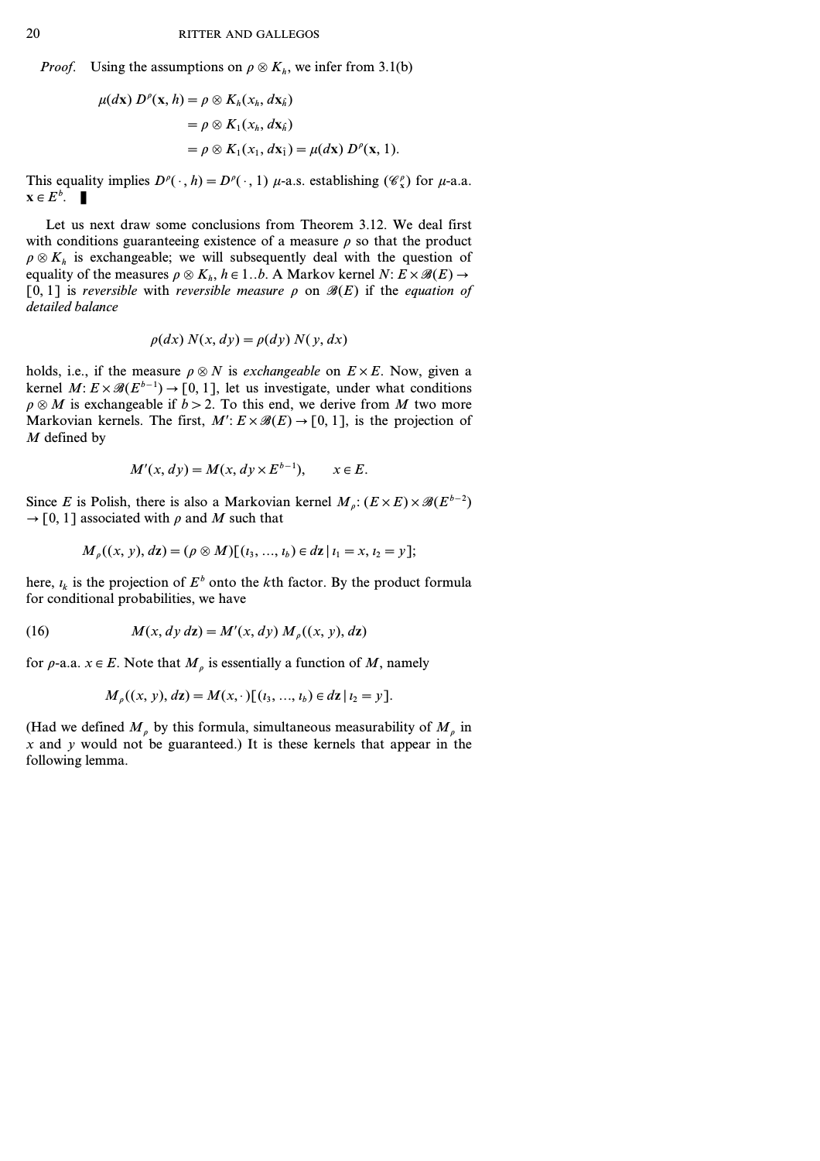*Proof.* Using the assumptions on  $\rho \otimes K_h$ , we infer from 3.1(b)

$$
\mu(dx) D^{\rho}(\mathbf{x}, h) = \rho \otimes K_h(x_h, d\mathbf{x}_{\hat{h}})
$$
  
=  $\rho \otimes K_1(x_h, d\mathbf{x}_{\hat{h}})$   
=  $\rho \otimes K_1(x_1, d\mathbf{x}_1) = \mu(dx) D^{\rho}(\mathbf{x}, 1).$ 

This equality implies  $D^{\rho}(\cdot, h) = D^{\rho}(\cdot, 1)$  *µ*-a.s. establishing  $(\mathscr{C}_{x}^{\rho})$  for *µ*-a.a.  $\mathbf{x} \in E^b$ .

Let us next draw some conclusions from Theorem 3.12. We deal first with conditions guaranteeing existence of a measure  $\rho$  so that the product  $\rho \otimes K_h$  is exchangeable; we will subsequently deal with the question of equality of the measures  $\rho \otimes K_h$ ,  $h \in 1..b$ . A Markov kernel  $N: E \times \mathcal{B}(E) \rightarrow$  $[0, 1]$  is *reversible* with *reversible* measure  $\rho$  on  $\mathcal{B}(E)$  if the *equation of detailed balance*

$$
\rho(dx) N(x, dy) = \rho(dy) N(y, dx)
$$

holds, i.e., if the measure  $\rho \otimes N$  is *exchangeable* on  $E \times E$ . Now, given a kernel *M*:  $E \times \mathcal{B}(E^{b-1})$  → [0, 1], let us investigate, under what conditions  $\rho \otimes M$  is exchangeable if  $b > 2$ . To this end, we derive from *M* two more Markovian kernels. The first,  $M: E \times \mathcal{B}(E) \rightarrow [0, 1]$ , is the projection of *M* defined by

$$
M'(x, dy) = M(x, dy \times E^{b-1}), \qquad x \in E.
$$

Since *E* is Polish, there is also a Markovian kernel  $M_p$ :  $(E \times E) \times \mathcal{B}(E^{b-2})$  $\rightarrow$  [0, 1] associated with  $\rho$  and *M* such that

$$
M_{\rho}((x, y), d\mathbf{z}) = (\rho \otimes M)[(i_3, ..., i_b) \in d\mathbf{z} | i_1 = x, i_2 = y];
$$

here,  $i_k$  is the projection of  $E^b$  onto the *k*th factor. By the product formula for conditional probabilities, we have

(16) 
$$
M(x, dy \, dz) = M'(x, dy) M_{\rho}((x, y), dz)
$$

for  $\rho$ -a.a.  $x \in E$ . Note that  $M_\rho$  is essentially a function of M, namely

$$
M_{\rho}((x, y), dz) = M(x, \cdot) [(i_3, ..., i_b) \in dz | i_2 = y].
$$

(Had we defined  $M_{\rho}$  by this formula, simultaneous measurability of  $M_{\rho}$  in  $x$  and  $y$  would not be guaranteed.) It is these kernels that appear in the following lemma.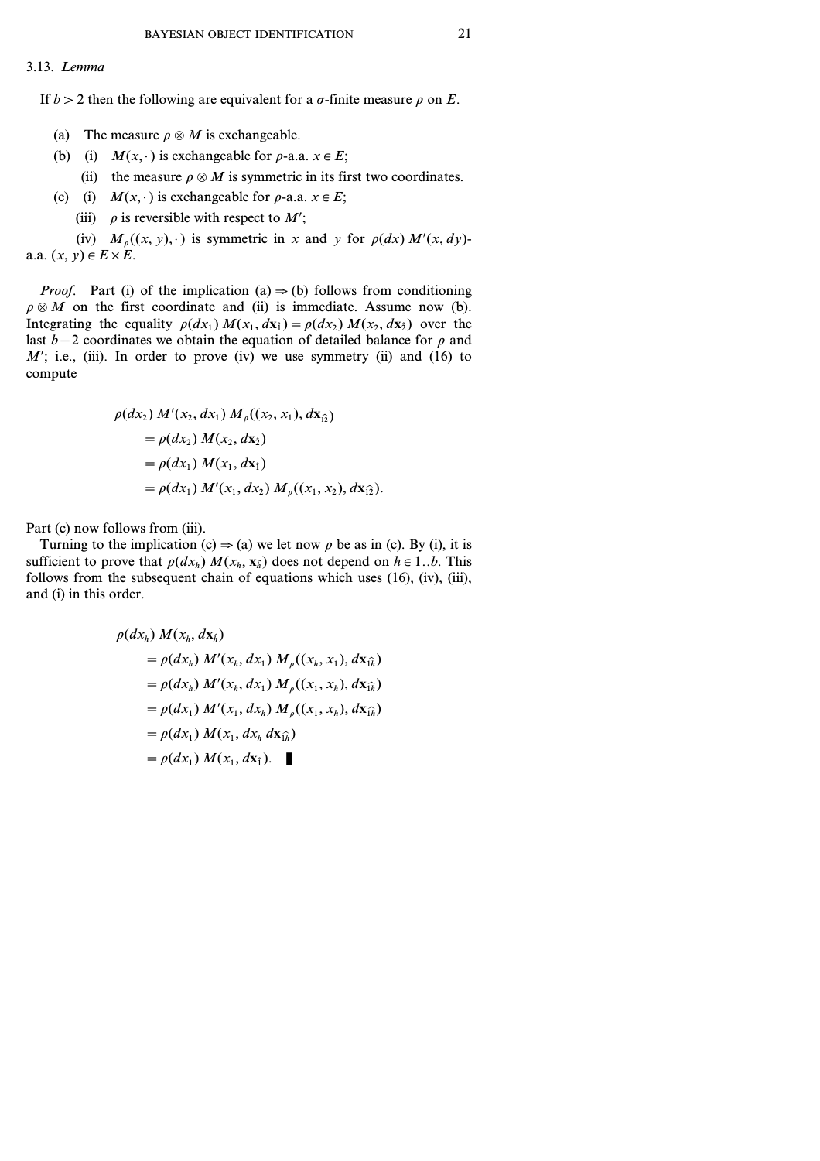#### 3.13. *Lemma*

If  $b > 2$  then the following are equivalent for a  $\sigma$ -finite measure  $\rho$  on *E*.

- (a) The measure  $\rho \otimes M$  is exchangeable.
- (b) (i)  $M(x, \cdot)$  is exchangeable for  $\rho$ -a.a.  $x \in E$ ;
	- (ii) the measure  $\rho \otimes M$  is symmetric in its first two coordinates.
- (c) (i)  $M(x, \cdot)$  is exchangeable for  $\rho$ -a.a.  $x \in E$ ;
	- (iii)  $\rho$  is reversible with respect to *M*';

(iv)  $M<sub>o</sub>((x, y), \cdot)$  is symmetric in *x* and *y* for  $\rho(dx) M'(x, dy)$ a.a.  $(x, y) \in E \times E$ .

*Proof.* Part (i) of the implication (a)  $\Rightarrow$  (b) follows from conditioning  $\rho \otimes M$  on the first coordinate and (ii) is immediate. Assume now (b). Integrating the equality  $\rho(dx_1) M(x_1, dx_1) = \rho(dx_2) M(x_2, dx_2)$  over the last *b−2* coordinates we obtain the equation of detailed balance for *r* and  $M'$ ; i.e., (iii). In order to prove (iv) we use symmetry (ii) and (16) to compute

$$
\rho(dx_2) M'(x_2, dx_1) M_{\rho}((x_2, x_1), dx_{\hat{u}})
$$
  
=  $\rho(dx_2) M(x_2, dx_2)$   
=  $\rho(dx_1) M(x_1, dx_1)$   
=  $\rho(dx_1) M'(x_1, dx_2) M_{\rho}((x_1, x_2), dx_{\hat{u}}).$ 

Part (c) now follows from (iii).

Turning to the implication (c)  $\Rightarrow$  (a) we let now  $\rho$  be as in (c). By (i), it is sufficient to prove that  $\rho(dx_h) M(x_h, x_h)$  does not depend on  $h \in 1..b$ . This follows from the subsequent chain of equations which uses (16), (iv), (iii), and (i) in this order.

$$
\rho(dx_h) M(x_h, d\mathbf{x}_{\hat{h}})
$$
  
=  $\rho(dx_h) M'(x_h, dx_1) M_{\rho}((x_h, x_1), d\mathbf{x}_{\hat{h}})$   
=  $\rho(dx_h) M'(x_h, dx_1) M_{\rho}((x_1, x_h), d\mathbf{x}_{\hat{h}})$   
=  $\rho(dx_1) M'(x_1, dx_h) M_{\rho}((x_1, x_h), d\mathbf{x}_{\hat{h}})$   
=  $\rho(dx_1) M(x_1, dx_h d\mathbf{x}_{\hat{h}})$   
=  $\rho(dx_1) M(x_1, dx_{\hat{h}}).$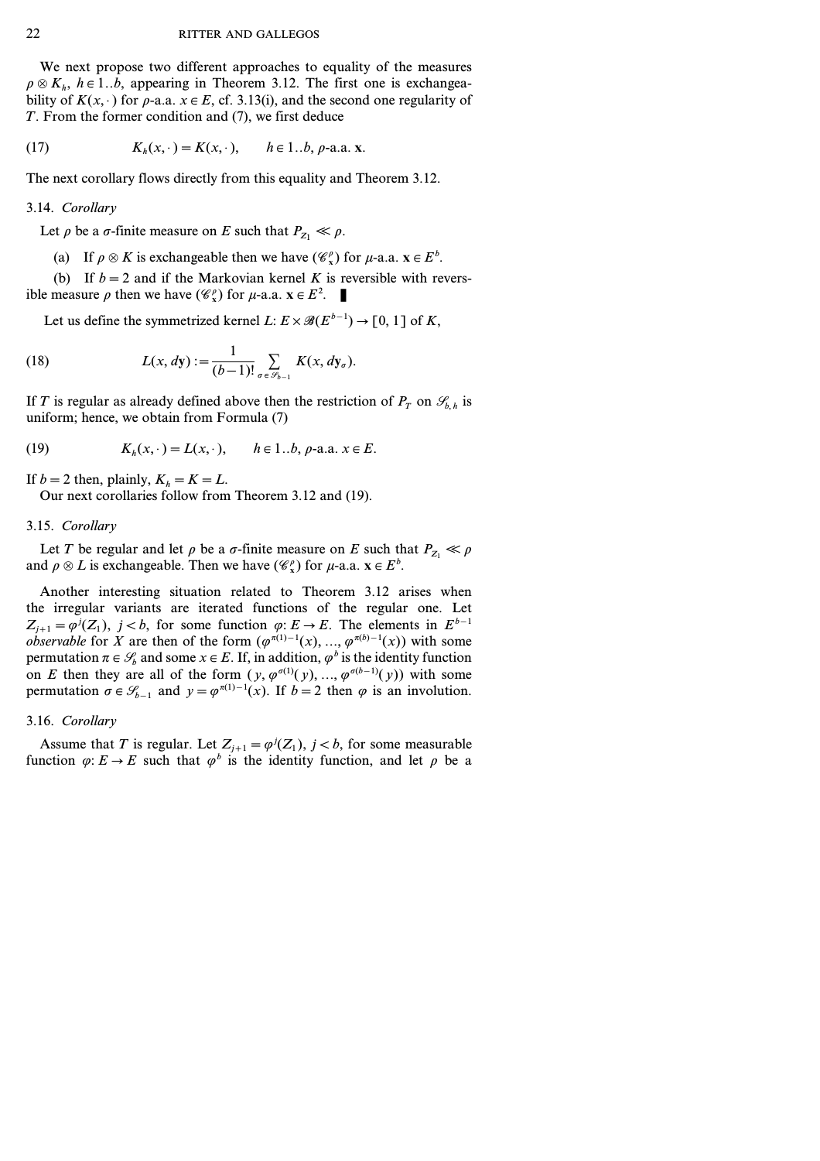We next propose two different approaches to equality of the measures  $\rho \otimes K_h$ ,  $h \in 1..b$ , appearing in Theorem 3.12. The first one is exchangeability of  $K(x, \cdot)$  for  $\rho$ -a.a.  $x \in E$ , cf. 3.13(i), and the second one regularity of *T*. From the former condition and (7), we first deduce

(17) 
$$
K_h(x, \cdot) = K(x, \cdot), \quad h \in 1..b, \rho\text{-a.a. } x.
$$

The next corollary flows directly from this equality and Theorem 3.12.

#### 3.14. *Corollary*

Let  $\rho$  be a  $\sigma$ -finite measure on *E* such that  $P_{Z_1} \ll \rho$ .

(a) If  $\rho \otimes K$  is exchangeable then we have  $(\mathcal{C}^{\rho}_{x})$  for  $\mu$ -a.a.  $x \in E^{b}$ .

(b) If  $b=2$  and if the Markovian kernel *K* is reversible with reversible measure  $\rho$  then we have  $(\mathscr{C}_{x}^{\rho})$  for  $\mu$ -a.a.  $\mathbf{x} \in E^{2}$ .

Let us define the symmetrized kernel *L*:  $E \times \mathcal{B}(E^{b-1}) \rightarrow [0, 1]$  of *K*,

(18) 
$$
L(x, dy) := \frac{1}{(b-1)!} \sum_{\sigma \in \mathscr{S}_{b-1}} K(x, dy_{\sigma}).
$$

If *T* is regular as already defined above then the restriction of  $P_T$  on  $\mathcal{S}_{b,h}$  is uniform; hence, we obtain from Formula (7)

(19) 
$$
K_h(x, \cdot) = L(x, \cdot), \quad h \in 1..b, \rho\text{-a.a. } x \in E.
$$

If  $b = 2$  then, plainly,  $K_h = K = L$ .

Our next corollaries follow from Theorem 3.12 and (19).

#### 3.15. *Corollary*

Let *T* be regular and let  $\rho$  be a  $\sigma$ -finite measure on *E* such that  $P_{Z_1} \ll \rho$ and  $\rho \otimes L$  is exchangeable. Then we have  $(\mathscr{C}_{x}^{\rho})$  for  $\mu$ -a.a.  $\mathbf{x} \in E^{b}$ .

Another interesting situation related to Theorem 3.12 arises when the irregular variants are iterated functions of the regular one. Let  $Z_{j+1} = \varphi^{j}(Z_1)$ ,  $j < b$ , for some function  $\varphi: E \to E$ . The elements in  $E^{b-1}$ *observable* for *X* are then of the form  $(\varphi^{\pi(1)-1}(x), ..., \varphi^{\pi(b)-1}(x))$  with some permutation  $\pi \in \mathcal{S}_b$  and some  $x \in E$ . If, in addition,  $\varphi^b$  is the identity function on *E* then they are all of the form  $(y, \varphi^{\sigma(1)}(y), ..., \varphi^{\sigma(b-1)}(y))$  with some permutation  $\sigma \in \mathcal{S}_{b-1}$  and  $y = \varphi^{\pi(1)-1}(x)$ . If  $b=2$  then  $\varphi$  is an involution.

#### 3.16. *Corollary*

Assume that *T* is regular. Let  $Z_{j+1} = \varphi^{j}(Z_1)$ ,  $j < b$ , for some measurable function  $\varphi$ :  $E \to E$  such that  $\varphi^b$  is the identity function, and let  $\rho$  be a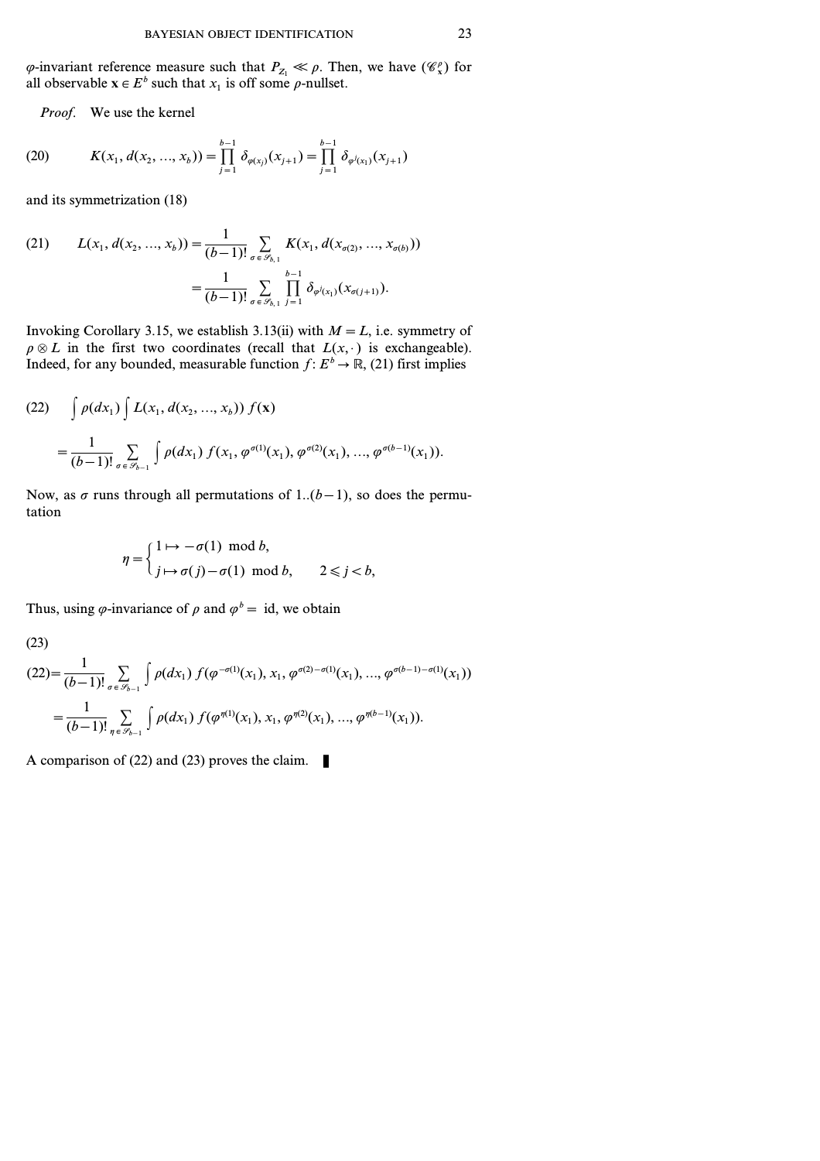$\varphi$ -invariant reference measure such that  $P_{Z_1} \ll \rho$ . Then, we have  $(\mathscr{C}_{x}^{\rho})$  for all observable  $\mathbf{x} \in E^b$  such that  $x_1$  is off some  $\rho$ -nullset.

*Proof.* We use the kernel

(20) 
$$
K(x_1, d(x_2, ..., x_b)) = \prod_{j=1}^{b-1} \delta_{\varphi(x_j)}(x_{j+1}) = \prod_{j=1}^{b-1} \delta_{\varphi^j(x_1)}(x_{j+1})
$$

and its symmetrization (18)

(21) 
$$
L(x_1, d(x_2, ..., x_b)) = \frac{1}{(b-1)!} \sum_{\sigma \in \mathscr{S}_{b,1}} K(x_1, d(x_{\sigma(2)}, ..., x_{\sigma(b)}))
$$

$$
= \frac{1}{(b-1)!} \sum_{\sigma \in \mathscr{S}_{b,1}} \prod_{j=1}^{b-1} \delta_{\varphi^j(x_1)}(x_{\sigma(j+1)}).
$$

Invoking Corollary 3.15, we establish 3.13(ii) with  $M = L$ , i.e. symmetry of  $\rho \otimes L$  in the first two coordinates (recall that  $L(x, \cdot)$  is exchangeable). Indeed, for any bounded, measurable function  $f: E^b \to \mathbb{R}$ , (21) first implies

$$
(22) \qquad \int \rho(dx_1) \int L(x_1, d(x_2, ..., x_b)) f(\mathbf{x})
$$

$$
= \frac{1}{(b-1)!} \sum_{\sigma \in \mathscr{S}_{b-1}} \int \rho(dx_1) f(x_1, \varphi^{\sigma(1)}(x_1), \varphi^{\sigma(2)}(x_1), ..., \varphi^{\sigma(b-1)}(x_1)).
$$

Now, as  $\sigma$  runs through all permutations of 1..( $b-1$ ), so does the permutation

$$
\eta = \begin{cases} 1 \mapsto -\sigma(1) \mod b, \\ j \mapsto \sigma(j) - \sigma(1) \mod b, \\ 2 \leq j < b, \end{cases}
$$

Thus, using  $\varphi$ -invariance of  $\rho$  and  $\varphi^b = id$ , we obtain

$$
(23)
$$

$$
(22) = \frac{1}{(b-1)!} \sum_{\sigma \in \mathscr{S}_{b-1}} \int \rho(dx_1) f(\varphi^{-\sigma(1)}(x_1), x_1, \varphi^{\sigma(2)-\sigma(1)}(x_1), ..., \varphi^{\sigma(b-1)-\sigma(1)}(x_1))
$$
  
= 
$$
\frac{1}{(b-1)!} \sum_{\eta \in \mathscr{S}_{b-1}} \int \rho(dx_1) f(\varphi^{\eta(1)}(x_1), x_1, \varphi^{\eta(2)}(x_1), ..., \varphi^{\eta(b-1)}(x_1)).
$$

A comparison of (22) and (23) proves the claim.  $\blacksquare$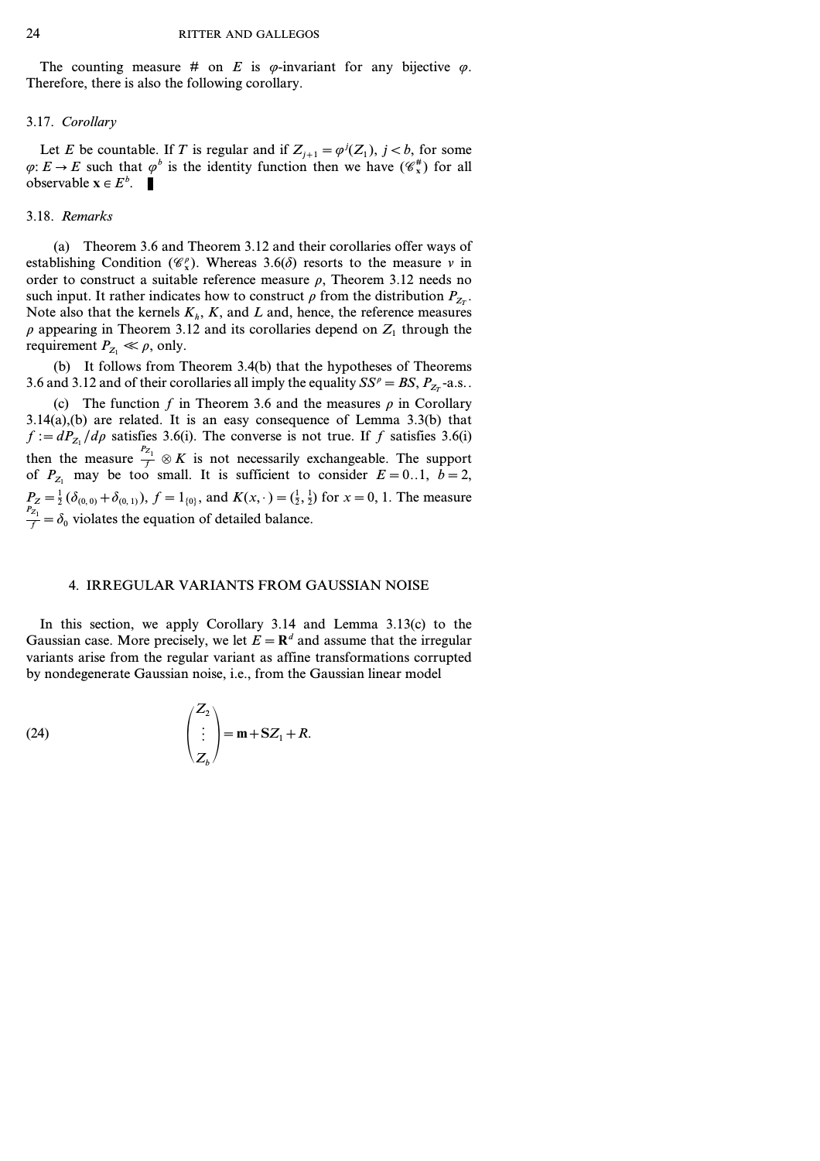The counting measure # on *E* is  $\varphi$ -invariant for any bijective  $\varphi$ . Therefore, there is also the following corollary.

# 3.17. *Corollary*

Let *E* be countable. If *T* is regular and if  $Z_{j+1} = \varphi^{j}(Z_1)$ ,  $j < b$ , for some  $\varphi: E \to E$  such that  $\varphi^b$  is the identity function then we have  $(\mathscr{C}_{x}^{\#})$  for all observable  $\mathbf{x} \in E^b$ .

# 3.18. *Remarks*

(a) Theorem 3.6and Theorem 3.12 and their corollaries offer ways of establishing Condition  $(\mathscr{C}_x)$ . Whereas 3.6( $\delta$ ) resorts to the measure *v* in order to construct a suitable reference measure  $\rho$ , Theorem 3.12 needs no such input. It rather indicates how to construct  $\rho$  from the distribution  $P_{Z_T}$ . Note also that the kernels  $K_h$ ,  $K$ , and  $L$  and, hence, the reference measures  $\rho$  appearing in Theorem 3.12 and its corollaries depend on  $Z_1$  through the requirement  $P_{Z_1} \ll \rho$ , only.

(b) It follows from Theorem 3.4(b) that the hypotheses of Theorems 3.6 and 3.12 and of their corollaries all imply the equality  $SS^p = BS$ ,  $P_{Z_T}$ -a.s..

(c) The function  $f$  in Theorem 3.6 and the measures  $\rho$  in Corollary 3.14(a),(b) are related. It is an easy consequence of Lemma 3.3(b) that  $f := dP_{Z_1}/d\rho$  satisfies 3.6(i). The converse is not true. If *f* satisfies 3.6(i) then the measure  $\frac{P_{Z_1}}{f} \otimes K$  is not necessarily exchangeable. The support of  $P_{Z_1}$  may be too small. It is sufficient to consider  $E=0.1$ ,  $b=2$ ,  $P_Z = \frac{1}{2} (\delta_{(0,0)} + \delta_{(0,1)}), f = 1_{\{0\}}, \text{ and } K(x, \cdot) = (\frac{1}{2}, \frac{1}{2}) \text{ for } x = 0, 1.$  The measure  $f_{\frac{P_{Z_1}}{f}} = \delta_0$  violates the equation of detailed balance.

### 4. IRREGULAR VARIANTS FROM GAUSSIAN NOISE

In this section, we apply Corollary 3.14 and Lemma 3.13(c) to the Gaussian case. More precisely, we let  $E = \mathbb{R}^d$  and assume that the irregular variants arise from the regular variant as affine transformations corrupted by nondegenerate Gaussian noise, i.e., from the Gaussian linear model

(24) 
$$
\begin{pmatrix} Z_2 \\ \vdots \\ Z_b \end{pmatrix} = \mathbf{m} + \mathbf{S} Z_1 + R.
$$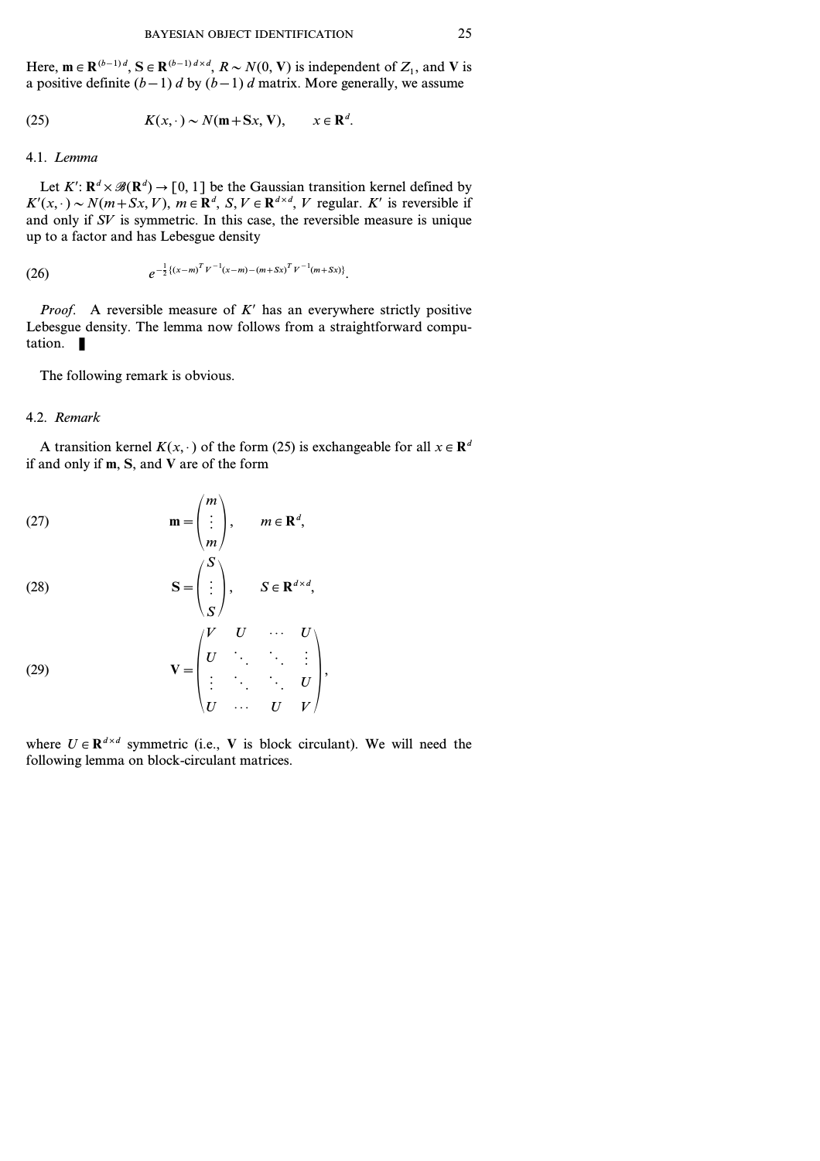Here,  $\mathbf{m} \in \mathbb{R}^{(b-1)d}$ ,  $\mathbf{S} \in \mathbb{R}^{(b-1)d \times d}$ ,  $R \sim N(0, V)$  is independent of  $Z_1$ , and V is a positive definite  $(b-1)$  d by  $(b-1)$  d matrix. More generally, we assume

(25) 
$$
K(x, \cdot) \sim N(\mathbf{m} + \mathbf{S}x, \mathbf{V}), \qquad x \in \mathbf{R}^d.
$$

# 4.1. *Lemma*

Let  $K'$ :  $\mathbb{R}^d \times \mathcal{B}(\mathbb{R}^d) \to [0, 1]$  be the Gaussian transition kernel defined by  $K'(x, \cdot) \sim N(m+Sx, V)$ ,  $m \in \mathbb{R}^d$ ,  $S, V \in \mathbb{R}^{d \times d}$ , *V* regular. *K*' is reversible if and only if *SV* is symmetric. In this case, the reversible measure is unique up to a factor and has Lebesgue density

(26) 
$$
e^{-\frac{1}{2}\{(x-m)^T V^{-1}(x-m)-(m+Sx)^T V^{-1}(m+Sx)\}}.
$$

*Proof.* A reversible measure of  $K'$  has an everywhere strictly positive Lebesgue density. The lemma now follows from a straightforward computation.  $\blacksquare$ 

The following remark is obvious.

# 4.2. *Remark*

A transition kernel  $K(x, \cdot)$  of the form (25) is exchangeable for all  $x \in \mathbb{R}^d$ if and only if **m**, **S**, and **V** are of the form

(27) 
$$
\mathbf{m} = \begin{pmatrix} m \\ \vdots \\ m \end{pmatrix}, \quad m \in \mathbb{R}^d,
$$

(28) 
$$
\mathbf{S} = \begin{pmatrix} S \\ \vdots \\ S \end{pmatrix}, \quad S \in \mathbf{R}^{d \times d},
$$

(29) 
$$
\mathbf{V} = \begin{pmatrix} V & U & \cdots & U \\ U & \ddots & \ddots & \vdots \\ \vdots & \ddots & \ddots & U \\ U & \cdots & U & V \end{pmatrix},
$$

where  $U \in \mathbb{R}^{d \times d}$  symmetric (i.e., V is block circulant). We will need the following lemma on block-circulant matrices.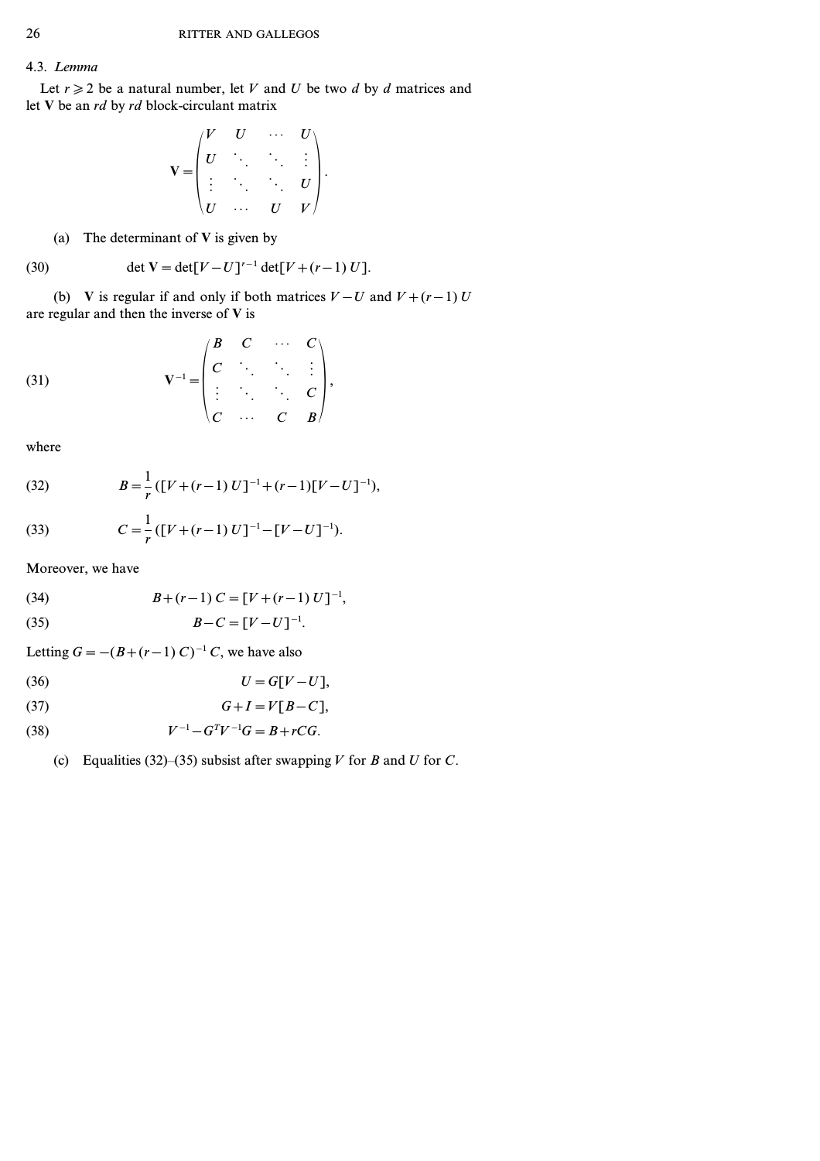# 4.3. *Lemma*

Let  $r \geq 2$  be a natural number, let *V* and *U* be two *d* by *d* matrices and let **V** be an *rd* by *rd* block-circulant matrix

$$
\mathbf{V} = \begin{pmatrix} V & U & \cdots & U \\ U & \ddots & \ddots & \vdots \\ \vdots & \ddots & \ddots & U \\ U & \cdots & U & V \end{pmatrix}.
$$

(a) The determinant of **V** is given by

(30) 
$$
\det V = \det[V - U]^{r-1} \det[V + (r-1) U].
$$

(b) **V** is regular if and only if both matrices  $V-U$  and  $V+(r-1)U$ are regular and then the inverse of **V** is

$$
(31) \quad \mathbf{V}^{-1} = \begin{pmatrix} B & C & \cdots & C \\ C & \ddots & \ddots & \vdots \\ \vdots & \ddots & \ddots & C \\ C & \cdots & C & B \end{pmatrix},
$$

where

(32) 
$$
B = \frac{1}{r} ([V + (r-1) U]^{-1} + (r-1) [V - U]^{-1}),
$$

(33) 
$$
C = \frac{1}{r} ([V + (r-1) U]^{-1} - [V - U]^{-1}).
$$

Moreover, we have

(34) 
$$
B+(r-1) C = [V+(r-1) U]^{-1},
$$

$$
(35) \t\t\t B-C=[V-U]^{-1}.
$$

Letting  $G = -(B+(r-1) C)^{-1} C$ , we have also

$$
(36) \tU = G[V-U],
$$

$$
(37) \tG+I=V[B-C],
$$

(38) 
$$
V^{-1} - G^T V^{-1} G = B + r C G.
$$

(c) Equalities (32)–(35) subsist after swapping *V* for *B* and *U* for *C*.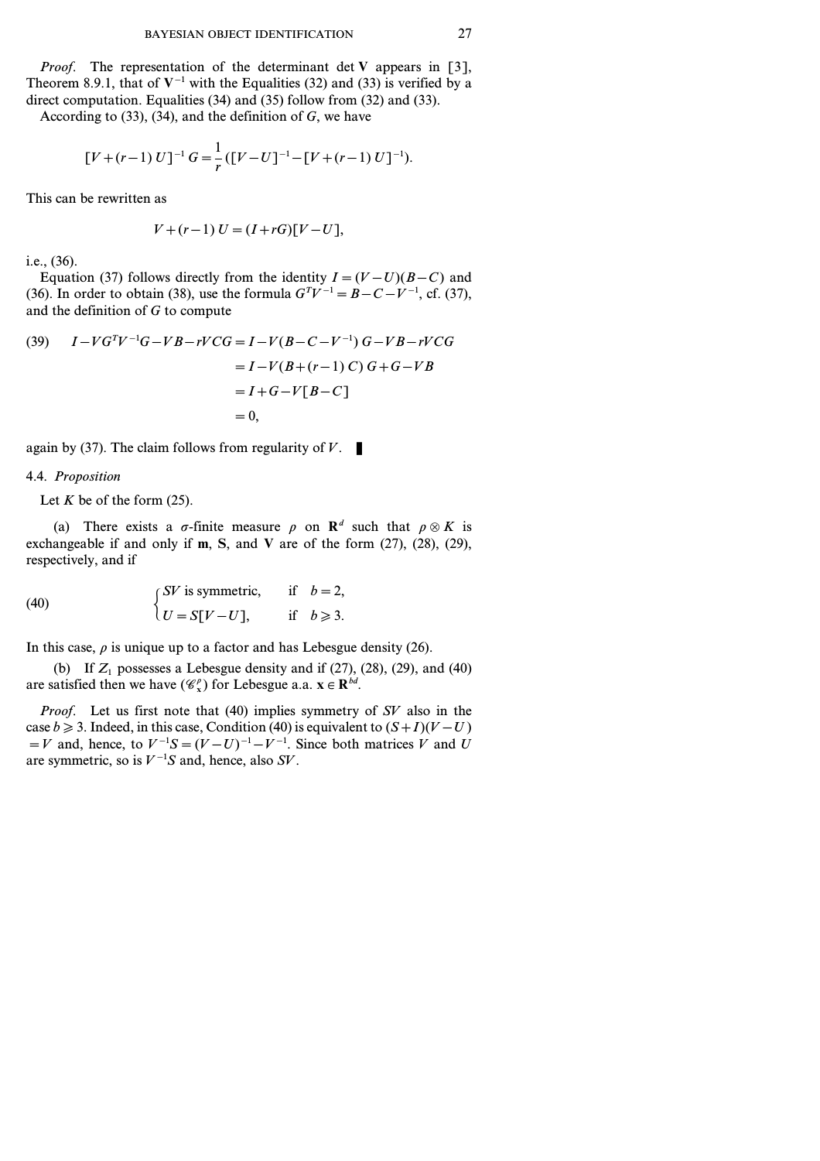*Proof.* The representation of the determinant det **V** appears in [3], Theorem 8.9.1, that of  $V^{-1}$  with the Equalities (32) and (33) is verified by a direct computation. Equalities (34) and (35) follow from (32) and (33). According to (33), (34), and the definition of *G*, we have

$$
[V + (r-1) U]^{-1} G = \frac{1}{r} ([V - U]^{-1} - [V + (r-1) U]^{-1}).
$$

This can be rewritten as

$$
V + (r - 1) U = (I + rG)[V - U],
$$

i.e., (36).

Equation (37) follows directly from the identity  $I=(V-U)(B-C)$  and (36). In order to obtain (38), use the formula  $G^{T}V^{-1} = B - C - V^{-1}$ , cf. (37), and the definition of *G* to compute

(39) 
$$
I - VG^{T}V^{-1}G - VB - rVCG = I - V(B - C - V^{-1})G - VB - rVCG
$$

$$
= I - V(B + (r - 1)C)G + G - VB
$$

$$
= I + G - V[B - C]
$$

$$
= 0,
$$

again by (37). The claim follows from regularity of  $V$ .

### 4.4. *Proposition*

Let  $K$  be of the form  $(25)$ .

(a) There exists a  $\sigma$ -finite measure  $\rho$  on  $\mathbb{R}^d$  such that  $\rho \otimes K$  is exchangeable if and only if **m**, **S**, and **V** are of the form (27), (28), (29), respectively, and if

(40) 
$$
\begin{cases} SV \text{ is symmetric,} & \text{if } b = 2, \\ U = S[V-U], & \text{if } b \geq 3. \end{cases}
$$

In this case,  $\rho$  is unique up to a factor and has Lebesgue density (26).

(b) If  $Z_1$  possesses a Lebesgue density and if  $(27)$ ,  $(28)$ ,  $(29)$ , and  $(40)$ are satisfied then we have  $(\mathscr{C}_x^{\rho})$  for Lebesgue a.a.  $\mathbf{x} \in \mathbb{R}^{bd}$ .

*Proof.* Let us first note that (40) implies symmetry of *SV* also in the case *b*  $\ge$  3. Indeed, in this case, Condition (40) is equivalent to  $(S+I)(V-U)$  $=V$  and, hence, to  $V^{-1}S=(V-U)^{-1}-V^{-1}$ . Since both matrices  $\hat{V}$  and  $\hat{U}$ are symmetric, so is  $V^{-1}S$  and, hence, also *SV*.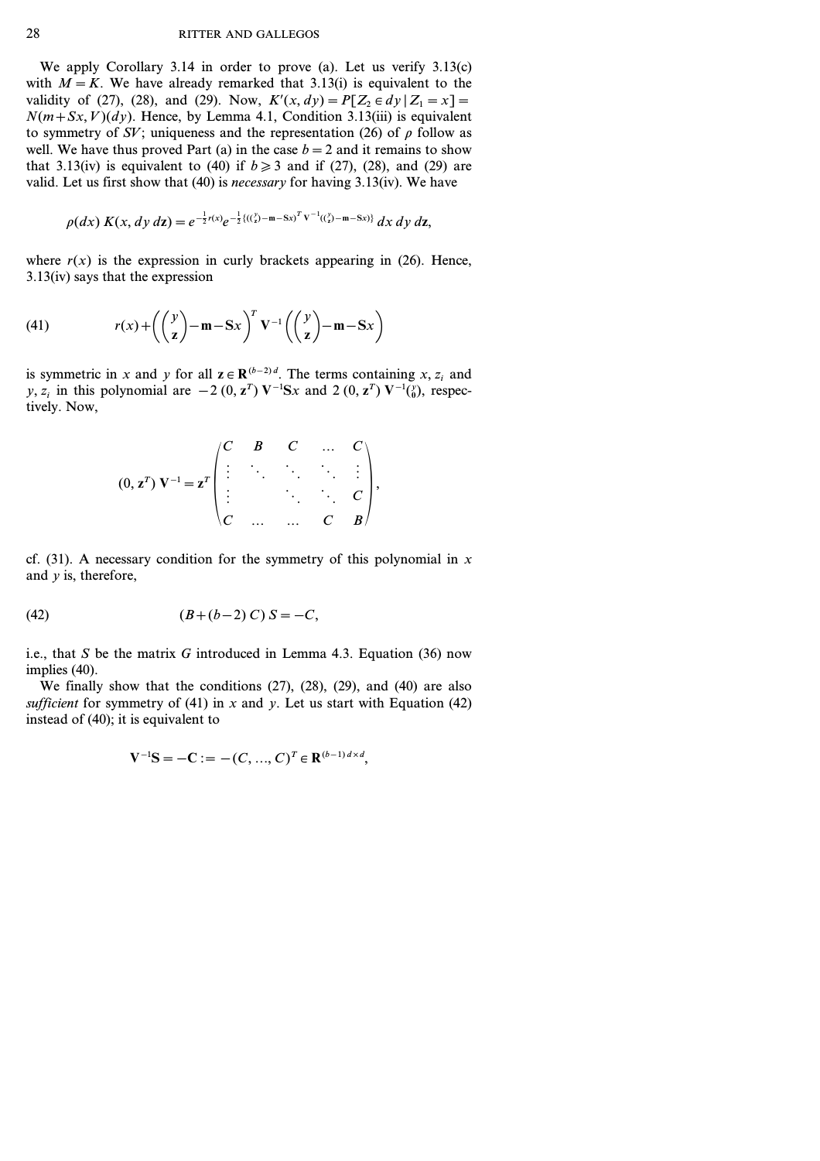We apply Corollary 3.14 in order to prove (a). Let us verify 3.13(c) with  $M = K$ . We have already remarked that 3.13(i) is equivalent to the validity of (27), (28), and (29). Now,  $K'(x, dy) = P[Z_2 \in dy | Z_1 = x] =$  $N(m+Sx, V)(dy)$ . Hence, by Lemma 4.1, Condition 3.13(iii) is equivalent to symmetry of *SV*; uniqueness and the representation (26) of  $\rho$  follow as well. We have thus proved Part (a) in the case  $b=2$  and it remains to show that 3.13(iv) is equivalent to (40) if  $b \ge 3$  and if (27), (28), and (29) are valid. Let us first show that (40) is *necessary* for having 3.13(iv). We have

$$
\rho(dx) K(x, dy \, dz) = e^{-\frac{1}{2}r(x)} e^{-\frac{1}{2} \{(x_2^y) - m - Sx\}^T V^{-1} (x_2^y) - m - Sx\}} dx \, dy \, dz,
$$

where  $r(x)$  is the expression in curly brackets appearing in (26). Hence, 3.13(iv) says that the expression

(41) 
$$
r(x) + \left(\binom{y}{z} - m - Sx\right)^T V^{-1} \left(\binom{y}{z} - m - Sx\right)
$$

is symmetric in *x* and *y* for all  $z \in \mathbb{R}^{(b-2)d}$ . The terms containing *x*, *z<sub>i</sub>* and *y*, *z<sub>i</sub>* in this polynomial are  $-2 (0, \mathbf{z}^T) \mathbf{V}^{-1} \mathbf{S} \mathbf{x}$  and  $2 (0, \mathbf{z}^T) \mathbf{V}^{-1} \binom{y}{0}$ , respectively. Now,

$$
(0, \mathbf{z}^T) \mathbf{V}^{-1} = \mathbf{z}^T \begin{pmatrix} C & B & C & \dots & C \\ \vdots & \ddots & \ddots & \ddots & \vdots \\ \vdots & \ddots & \ddots & \ddots & C \\ C & \dots & \dots & C & B \end{pmatrix},
$$

cf. (31). A necessary condition for the symmetry of this polynomial in *x* and *y* is, therefore,

(42) 
$$
(B+(b-2) C) S = -C,
$$

i.e., that *S* be the matrix *G* introduced in Lemma 4.3. Equation (36) now implies (40).

We finally show that the conditions (27), (28), (29), and (40) are also *sufficient* for symmetry of (41) in  $x$  and  $y$ . Let us start with Equation (42) instead of (40); it is equivalent to

$$
V^{-1}S = -C := -(C, ..., C)^T \in \mathbb{R}^{(b-1)d \times d},
$$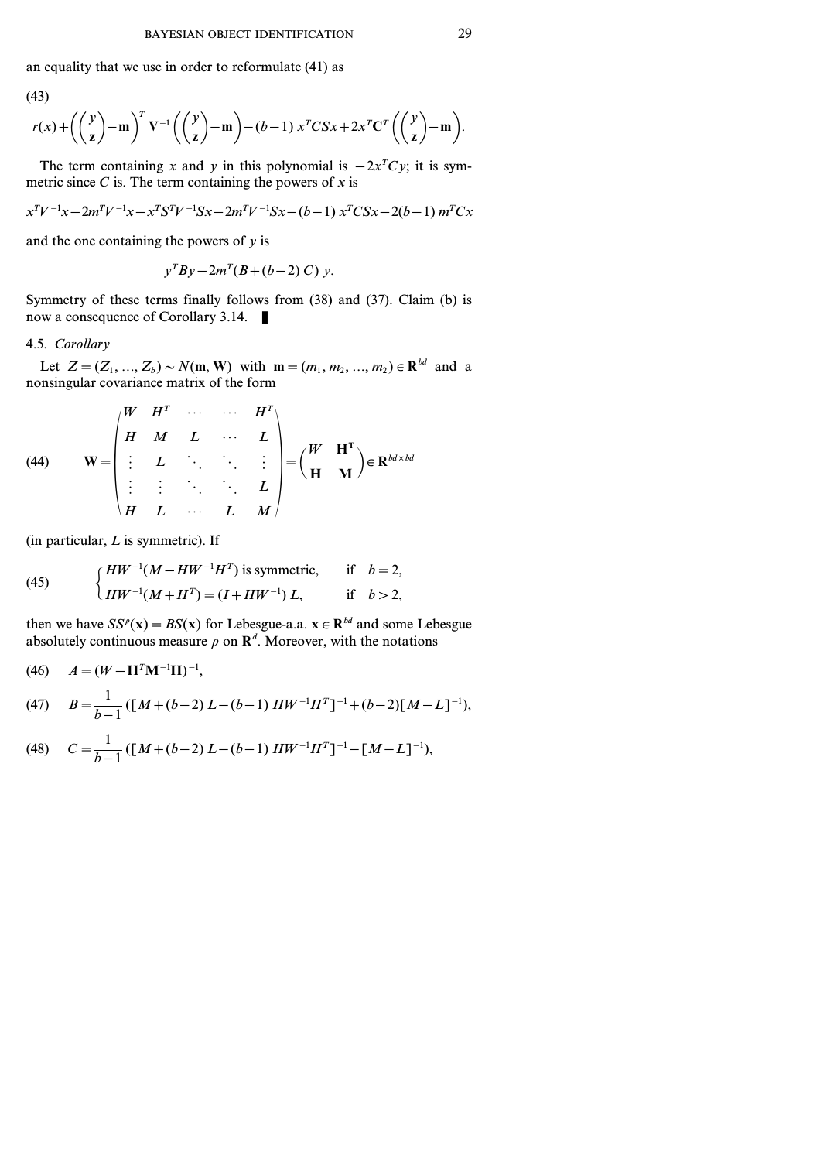an equality that we use in order to reformulate (41) as

(43)

43)  

$$
r(x)+\left(\binom{y}{z}-m\right)^T V^{-1}\left(\binom{y}{z}-m\right)-(b-1)x^T C S x+2x^T C^T\left(\binom{y}{z}-m\right).
$$

The term containing *x* and *y* in this polynomial is  $-2x<sup>T</sup>Cy$ ; it is symmetric since  $C$  is. The term containing the powers of  $x$  is

$$
x^{T}V^{-1}x - 2m^{T}V^{-1}x - x^{T}S^{T}V^{-1}Sx - 2m^{T}V^{-1}Sx - (b-1) x^{T}CSx - 2(b-1)m^{T}Cx
$$

and the one containing the powers of *y* is

$$
y^T B y - 2m^T (B + (b - 2) C) y.
$$

Symmetry of these terms finally follows from (38) and (37). Claim (b) is now a consequence of Corollary 3.14.

# 4.5. *Corollary*

Let  $Z = (Z_1, ..., Z_b) \sim N(m, W)$  with  $m = (m_1, m_2, ..., m_2) \in \mathbb{R}^{bd}$  and a nonsingular covariance matrix of the form

(44) 
$$
\mathbf{W} = \begin{pmatrix} W & H^T & \cdots & \cdots & H^T \\ H & M & L & \cdots & L \\ \vdots & L & \ddots & \ddots & \vdots \\ \vdots & \vdots & \ddots & \ddots & L \\ H & L & \cdots & L & M \end{pmatrix} = \begin{pmatrix} W & \mathbf{H}^T \\ \mathbf{H} & \mathbf{M} \end{pmatrix} \in \mathbb{R}^{bd \times bd}
$$

(in particular, *L* is symmetric). If

(45) 
$$
\begin{cases} HW^{-1}(M - HW^{-1}H^{T}) \text{ is symmetric,} & \text{if } b = 2, \\ HW^{-1}(M + H^{T}) = (I + HW^{-1}) L, & \text{if } b > 2, \end{cases}
$$

then we have  $SS^{\rho}(\mathbf{x}) = BS(\mathbf{x})$  for Lebesgue-a.a.  $\mathbf{x} \in \mathbb{R}^{bd}$  and some Lebesgue absolutely continuous measure  $\rho$  on  $\mathbf{R}^d$ . Moreover, with the notations

(46) 
$$
A = (W - \mathbf{H}^T \mathbf{M}^{-1} \mathbf{H})^{-1}
$$
,  
\n(47)  $B = \frac{1}{b-1} ([M + (b-2) L - (b-1) H W^{-1} H^T]^{-1} + (b-2) [M - L]^{-1})$ ,

(48) 
$$
C = \frac{1}{b-1} ([M+(b-2) L-(b-1) HW^{-1}H^{T}]^{-1} - [M-L]^{-1}),
$$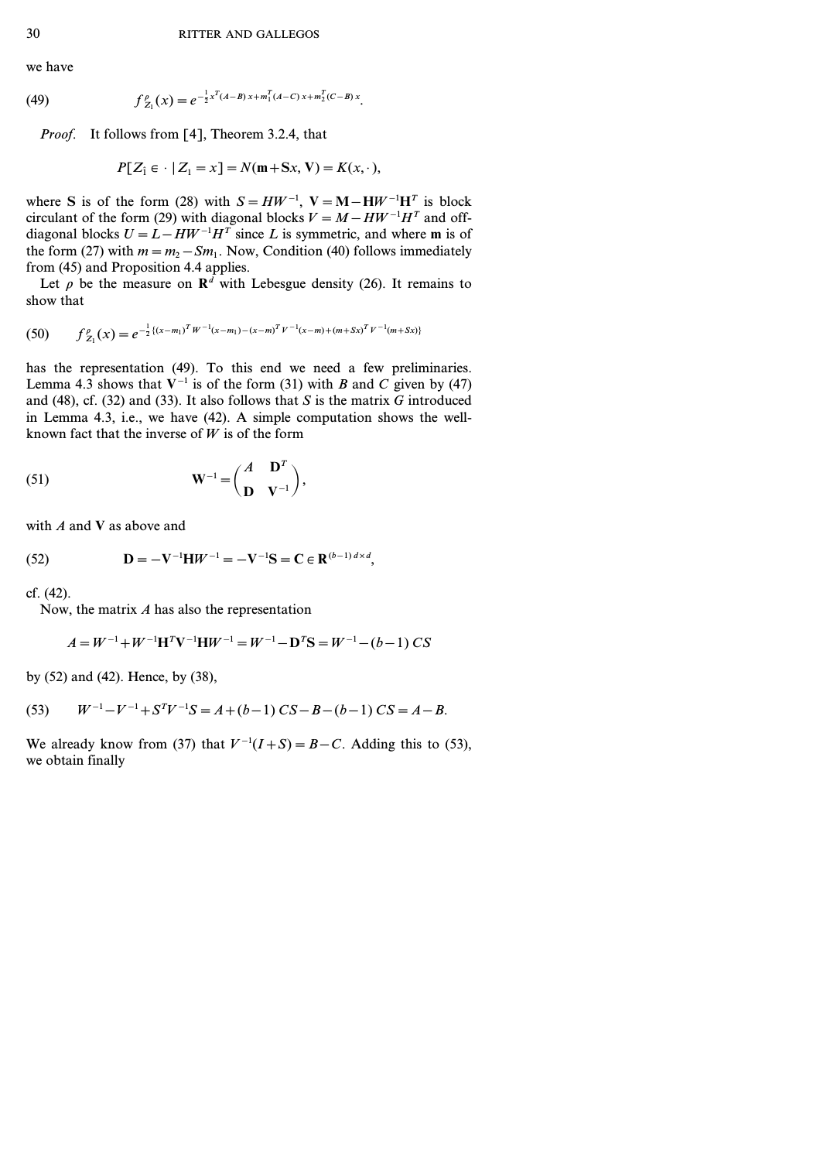we have

(49) 
$$
f_{Z_1}^{\rho}(x) = e^{-\frac{1}{2}x^T(A-B)x + m_1^T(A-C)x + m_2^T(C-B)x}.
$$

*Proof.* It follows from [4], Theorem 3.2.4, that

$$
P[Z_1 \in \cdot \mid Z_1 = x] = N(\mathbf{m} + \mathbf{S}x, \mathbf{V}) = K(x, \cdot),
$$

where **S** is of the form (28) with  $S = HW^{-1}$ ,  $V = M - HW^{-1}H^{T}$  is block circulant of the form (29) with diagonal blocks  $V = M - HW^{-1}H^{T}$  and offdiagonal blocks  $U = L - HW^{-1}H^T$  since *L* is symmetric, and where **m** is of the form (27) with  $m = m<sub>2</sub> - Sm<sub>1</sub>$ . Now, Condition (40) follows immediately from (45) and Proposition 4.4 applies.

Let  $\rho$  be the measure on  $\mathbb{R}^d$  with Lebesgue density (26). It remains to show that

$$
(50) \t f_{Z_1}^{\rho}(x) = e^{-\frac{1}{2}\{(x-m_1)^T W^{-1}(x-m_1)-(x-m)^T V^{-1}(x-m)+(m+Sx)^T V^{-1}(m+Sx)\}}
$$

has the representation (49). To this end we need a few preliminaries. Lemma 4.3 shows that  $V^{-1}$  is of the form (31) with *B* and *C* given by (47) and (48), cf. (32) and (33). It also follows that *S* is the matrix *G* introduced in Lemma 4.3, i.e., we have (42). A simple computation shows the wellknown fact that the inverse of  $W$  is of the form

(51) 
$$
\mathbf{W}^{-1} = \begin{pmatrix} A & \mathbf{D}^T \\ \mathbf{D} & \mathbf{V}^{-1} \end{pmatrix},
$$

with *A* and **V** as above and

(52) 
$$
\mathbf{D} = -\mathbf{V}^{-1}\mathbf{H}W^{-1} = -\mathbf{V}^{-1}\mathbf{S} = \mathbf{C} \in \mathbf{R}^{(b-1)d \times d},
$$

cf. (42).

Now, the matrix *A* has also the representation

$$
A = W^{-1} + W^{-1}H^{T}V^{-1}HW^{-1} = W^{-1} - D^{T}S = W^{-1} - (b - 1) CS
$$

by (52) and (42). Hence, by (38),

(53) 
$$
W^{-1} - V^{-1} + S^{T}V^{-1}S = A + (b-1) CS - B - (b-1) CS = A - B.
$$

We already know from (37) that  $V^{-1}(I+S) = B - C$ . Adding this to (53), we obtain finally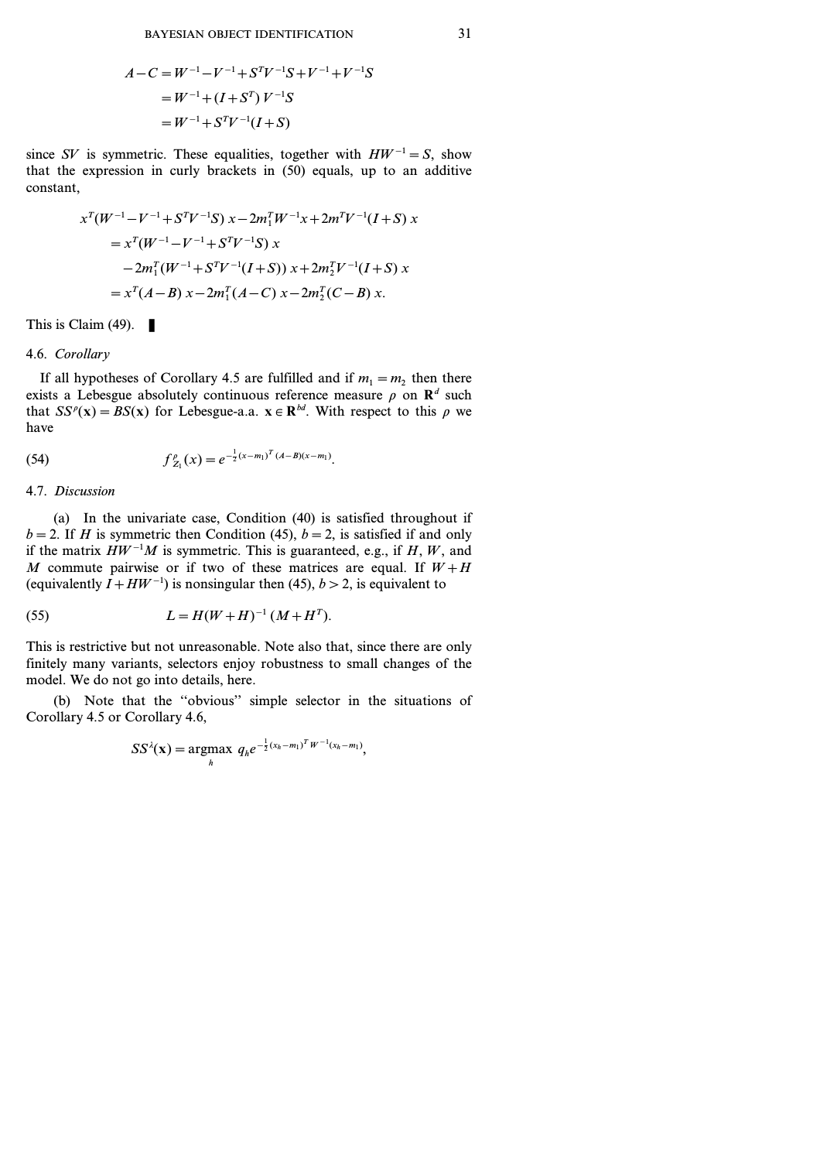$$
A - C = W^{-1} - V^{-1} + S^{T}V^{-1}S + V^{-1} + V^{-1}S
$$
  
=  $W^{-1} + (I + S^{T}) V^{-1}S$   
=  $W^{-1} + S^{T}V^{-1}(I + S)$ 

since *SV* is symmetric. These equalities, together with  $HW^{-1} = S$ , show that the expression in curly brackets in (50) equals, up to an additive constant,

$$
x^{T}(W^{-1} - V^{-1} + S^{T}V^{-1}S) x - 2m_{1}^{T}W^{-1}x + 2m^{T}V^{-1}(I+S) x
$$
  
=  $x^{T}(W^{-1} - V^{-1} + S^{T}V^{-1}S) x$   
 $- 2m_{1}^{T}(W^{-1} + S^{T}V^{-1}(I+S)) x + 2m_{2}^{T}V^{-1}(I+S) x$   
=  $x^{T}(A-B) x - 2m_{1}^{T}(A-C) x - 2m_{2}^{T}(C-B) x.$ 

This is Claim (49).  $\blacksquare$ 

# 4.6. *Corollary*

If all hypotheses of Corollary 4.5 are fulfilled and if  $m_1 = m_2$  then there exists a Lebesgue absolutely continuous reference measure  $\rho$  on  $\mathbb{R}^d$  such that  $SS^{\rho}(\mathbf{x}) = BS(\mathbf{x})$  for Lebesgue-a.a.  $\mathbf{x} \in \mathbb{R}^{bd}$ . With respect to this  $\rho$  we have

(54) 
$$
f_{Z_1}^{\rho}(x) = e^{-\frac{1}{2}(x-m_1)^T(A-B)(x-m_1)}.
$$

#### 4.7. *Discussion*

(a) In the univariate case, Condition (40) is satisfied throughout if  $b = 2$ . If *H* is symmetric then Condition (45),  $b = 2$ , is satisfied if and only if the matrix  $HW^{-1}M$  is symmetric. This is guaranteed, e.g., if *H*, *W*, and *M* commute pairwise or if two of these matrices are equal. If  $W + H$ (equivalently  $I + HW^{-1}$ ) is nonsingular then (45),  $b > 2$ , is equivalent to

(55) 
$$
L = H(W + H)^{-1} (M + H^T).
$$

This is restrictive but not unreasonable. Note also that, since there are only finitely many variants, selectors enjoy robustness to small changes of the model. We do not go into details, here.

(b) Note that the ''obvious'' simple selector in the situations of Corollary 4.5 or Corollary 4.6,

$$
SS^{\lambda}(\mathbf{x}) = \underset{h}{\text{argmax}} q_h e^{-\frac{1}{2}(x_h - m_1)^T W^{-1}(x_h - m_1)},
$$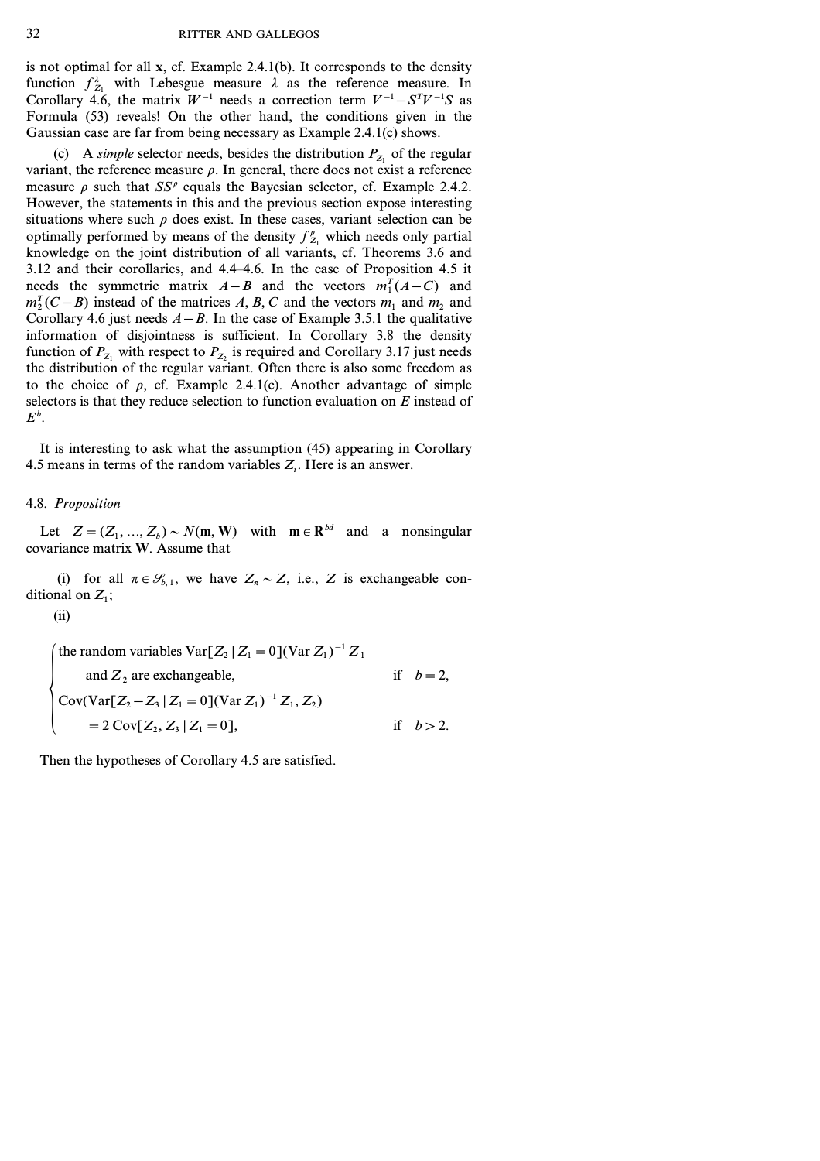is not optimal for all **x**, cf. Example 2.4.1(b). It corresponds to the density function  $f_{Z_1}^{\lambda}$  with Lebesgue measure  $\lambda$  as the reference measure. In Corollary 4.6, the matrix  $W^{-1}$  needs a correction term  $V^{-1} - S^{T}V^{-1}S$  as Formula (53) reveals! On the other hand, the conditions given in the Gaussian case are far from being necessary as Example 2.4.1(c) shows.

(c) A *simple* selector needs, besides the distribution  $P_{Z_1}$  of the regular variant, the reference measure  $\rho$ . In general, there does not exist a reference measure  $\rho$  such that  $SS^{\rho}$  equals the Bayesian selector, cf. Example 2.4.2. However, the statements in this and the previous section expose interesting situations where such  $\rho$  does exist. In these cases, variant selection can be optimally performed by means of the density  $f_{Z_1}^{\rho}$  which needs only partial knowledge on the joint distribution of all variants, cf. Theorems 3.6 and 3.12 and their corollaries, and 4.4–4.6. In the case of Proposition 4.5 it needs the symmetric matrix  $A - B$  and the vectors  $m_1^T(A - C)$  and  $m_2^T(C-B)$  instead of the matrices *A, B, C* and the vectors  $m_1$  and  $m_2$  and Corollary 4.6 just needs  $A - B$ . In the case of Example 3.5.1 the qualitative information of disjointness is sufficient. In Corollary 3.8 the density function of  $P_{Z_1}$  with respect to  $P_{Z_2}$  is required and Corollary 3.17 just needs the distribution of the regular variant. Often there is also some freedom as to the choice of  $\rho$ , cf. Example 2.4.1(c). Another advantage of simple selectors is that they reduce selection to function evaluation on *E* instead of  $E^b$ .

It is interesting to ask what the assumption (45) appearing in Corollary 4.5 means in terms of the random variables  $Z_i$ . Here is an answer.

### 4.8. *Proposition*

Let  $Z = (Z_1, ..., Z_b) \sim N(m, W)$  with  $m \in \mathbb{R}^{bd}$  and a nonsingular covariance matrix **W**. Assume that

(i) for all  $\pi \in \mathcal{S}_{b,1}$ , we have  $Z_{\pi} \sim Z$ , i.e., *Z* is exchangeable conditional on *Z<sup>1</sup>* ;

(ii)

\n The random variables \n 
$$
\text{Var}[Z_2 | Z_1 = 0](\text{Var } Z_1)^{-1} Z_1
$$
\n and \n  $Z_2$  are exchangeable,\n if \n  $b = 2$ ,\n  $\text{Cov}(\text{Var}[Z_2 - Z_3 | Z_1 = 0](\text{Var } Z_1)^{-1} Z_1, Z_2)$ \n is \n  $z = 2 \text{Cov}[Z_2, Z_3 | Z_1 = 0],$ \n is \n  $b > 2$ .\n

Then the hypotheses of Corollary 4.5 are satisfied.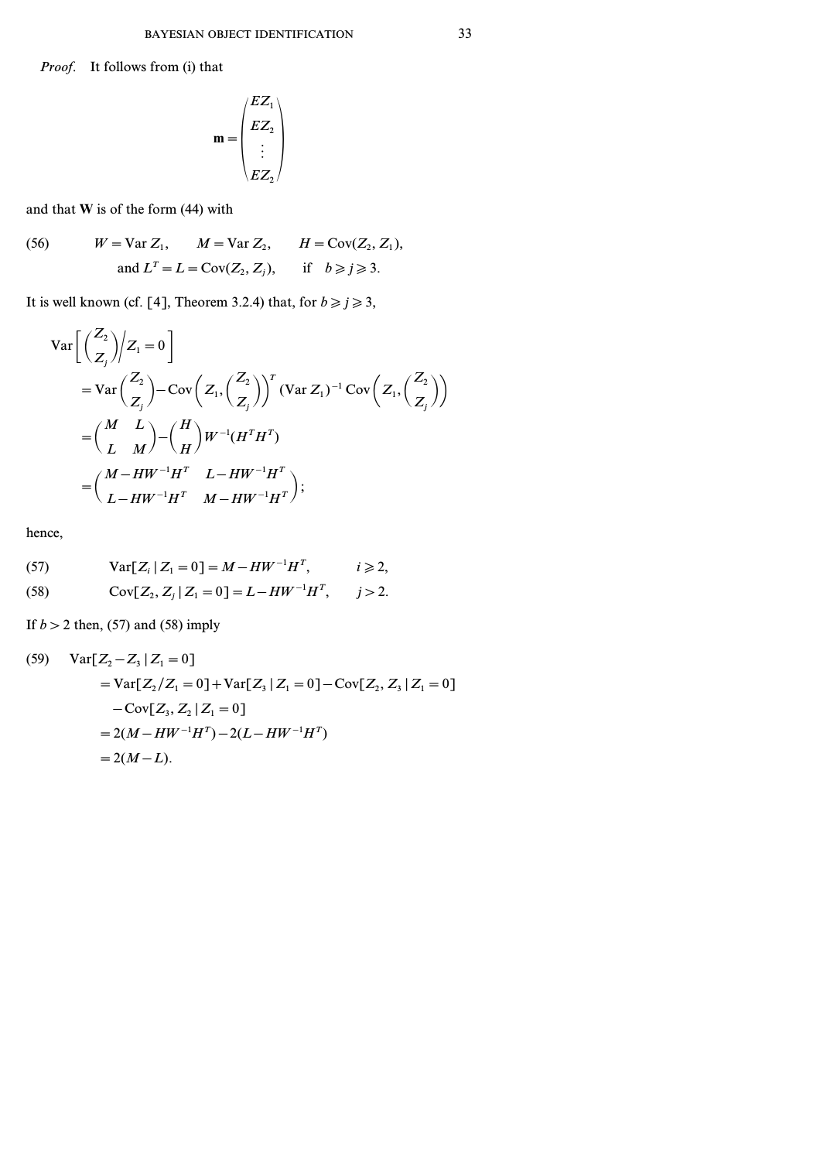*Proof.* It follows from (i) that

$$
\mathbf{m} = \begin{pmatrix} EZ_1 \\ EZ_2 \\ \vdots \\ EZ_2 \end{pmatrix}
$$

and that **W** is of the form (44) with

(56) 
$$
W = \text{Var } Z_1, \qquad M = \text{Var } Z_2, \qquad H = \text{Cov}(Z_2, Z_1),
$$

$$
\text{and } L^T = L = \text{Cov}(Z_2, Z_j), \qquad \text{if} \quad b \ge j \ge 3.
$$

It is well known (cf. [4], Theorem 3.2.4) that, for  $b \ge j \ge 3$ ,

$$
\operatorname{Var}\left[\left(\frac{Z_2}{Z_j}\right)\middle|Z_1=0\right]
$$
  
= 
$$
\operatorname{Var}\left(\frac{Z_2}{Z_j}\right) - \operatorname{Cov}\left(Z_1, \left(\frac{Z_2}{Z_j}\right)\right)^T (\operatorname{Var} Z_1)^{-1} \operatorname{Cov}\left(Z_1, \left(\frac{Z_2}{Z_j}\right)\right)
$$
  
= 
$$
\left(\frac{M}{L} \frac{L}{M}\right) - \left(\frac{H}{H}\right) W^{-1} (H^T H^T)
$$
  
= 
$$
\left(\frac{M - HW^{-1}H^T}{L - HW^{-1}H^T} \frac{L - HW^{-1}H^T}{M - HW^{-1}H^T}\right);
$$

hence,

(57) 
$$
Var[Z_i | Z_1 = 0] = M - HW^{-1}H^T, \qquad i \geq 2,
$$

(58) 
$$
Cov[Z_2, Z_j | Z_1 = 0] = L - HW^{-1}H^T, \quad j > 2.
$$

If *b>2* then, (57) and (58) imply

(59) 
$$
Var[Z_2 - Z_3 | Z_1 = 0]
$$

$$
= Var[Z_2/Z_1 = 0] + Var[Z_3 | Z_1 = 0] - Cov[Z_2, Z_3 | Z_1 = 0]
$$

$$
- Cov[Z_3, Z_2 | Z_1 = 0]
$$

$$
= 2(M - HW^{-1}H^T) - 2(L - HW^{-1}H^T)
$$

$$
= 2(M - L).
$$